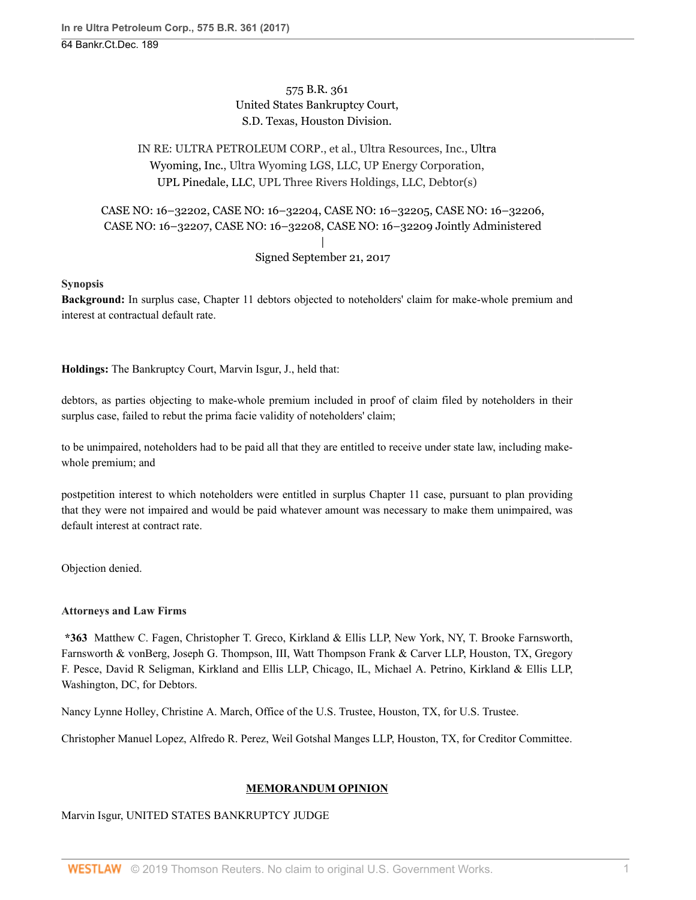575 B.R. 361 United States Bankruptcy Court, S.D. Texas, Houston Division.

# IN RE: ULTRA PETROLEUM CORP., et al., Ultra Resources, Inc., [Ultra](http://www.westlaw.com/Search/Results.html?query=advanced%3a+OAID(5038074773)&saveJuris=False&contentType=BUSINESS-INVESTIGATOR&startIndex=1&contextData=(sc.Default)&categoryPageUrl=Home%2fCompanyInvestigator&originationContext=document&vr=3.0&rs=cblt1.0&transitionType=DocumentItem) [Wyoming, Inc.,](http://www.westlaw.com/Search/Results.html?query=advanced%3a+OAID(5038074773)&saveJuris=False&contentType=BUSINESS-INVESTIGATOR&startIndex=1&contextData=(sc.Default)&categoryPageUrl=Home%2fCompanyInvestigator&originationContext=document&vr=3.0&rs=cblt1.0&transitionType=DocumentItem) Ultra Wyoming LGS, LLC, UP Energy Corporation, [UPL Pinedale, LLC](http://www.westlaw.com/Search/Results.html?query=advanced%3a+OAID(5051700316)&saveJuris=False&contentType=BUSINESS-INVESTIGATOR&startIndex=1&contextData=(sc.Default)&categoryPageUrl=Home%2fCompanyInvestigator&originationContext=document&vr=3.0&rs=cblt1.0&transitionType=DocumentItem), UPL Three Rivers Holdings, LLC, Debtor(s)

## CASE NO: 16–32202, CASE NO: 16–32204, CASE NO: 16–32205, CASE NO: 16–32206, CASE NO: 16–32207, CASE NO: 16–32208, CASE NO: 16–32209 Jointly Administered | Signed September 21, 2017

**Synopsis**

**Background:** In surplus case, Chapter 11 debtors objected to noteholders' claim for make-whole premium and interest at contractual default rate.

**Holdings:** The Bankruptcy Court, Marvin Isgur, J., held that:

debtors, as parties objecting to make-whole premium included in proof of claim filed by noteholders in their surplus case, failed to rebut the prima facie validity of noteholders' claim;

to be unimpaired, noteholders had to be paid all that they are entitled to receive under state law, including makewhole premium; and

postpetition interest to which noteholders were entitled in surplus Chapter 11 case, pursuant to plan providing that they were not impaired and would be paid whatever amount was necessary to make them unimpaired, was default interest at contract rate.

Objection denied.

## **Attorneys and Law Firms**

**\*363** [Matthew C. Fagen](http://www.westlaw.com/Link/Document/FullText?findType=h&pubNum=176284&cite=0489875699&originatingDoc=Id5002620a06411e7ae06bb6d796f727f&refType=RQ&originationContext=document&vr=3.0&rs=cblt1.0&transitionType=DocumentItem&contextData=(sc.UserEnteredCitation)), [Christopher T. Greco,](http://www.westlaw.com/Link/Document/FullText?findType=h&pubNum=176284&cite=0387598401&originatingDoc=Id5002620a06411e7ae06bb6d796f727f&refType=RQ&originationContext=document&vr=3.0&rs=cblt1.0&transitionType=DocumentItem&contextData=(sc.UserEnteredCitation)) Kirkland & Ellis LLP, New York, NY, [T. Brooke Farnsworth](http://www.westlaw.com/Link/Document/FullText?findType=h&pubNum=176284&cite=0210682001&originatingDoc=Id5002620a06411e7ae06bb6d796f727f&refType=RQ&originationContext=document&vr=3.0&rs=cblt1.0&transitionType=DocumentItem&contextData=(sc.UserEnteredCitation)), Farnsworth & vonBerg, [Joseph G. Thompson, III,](http://www.westlaw.com/Link/Document/FullText?findType=h&pubNum=176284&cite=0234209201&originatingDoc=Id5002620a06411e7ae06bb6d796f727f&refType=RQ&originationContext=document&vr=3.0&rs=cblt1.0&transitionType=DocumentItem&contextData=(sc.UserEnteredCitation)) Watt Thompson Frank & Carver LLP, Houston, TX, [Gregory](http://www.westlaw.com/Link/Document/FullText?findType=h&pubNum=176284&cite=0454779301&originatingDoc=Id5002620a06411e7ae06bb6d796f727f&refType=RQ&originationContext=document&vr=3.0&rs=cblt1.0&transitionType=DocumentItem&contextData=(sc.UserEnteredCitation)) [F. Pesce](http://www.westlaw.com/Link/Document/FullText?findType=h&pubNum=176284&cite=0454779301&originatingDoc=Id5002620a06411e7ae06bb6d796f727f&refType=RQ&originationContext=document&vr=3.0&rs=cblt1.0&transitionType=DocumentItem&contextData=(sc.UserEnteredCitation)), [David R Seligman,](http://www.westlaw.com/Link/Document/FullText?findType=h&pubNum=176284&cite=0250190201&originatingDoc=Id5002620a06411e7ae06bb6d796f727f&refType=RQ&originationContext=document&vr=3.0&rs=cblt1.0&transitionType=DocumentItem&contextData=(sc.UserEnteredCitation)) Kirkland and Ellis LLP, Chicago, IL, [Michael A. Petrino](http://www.westlaw.com/Link/Document/FullText?findType=h&pubNum=176284&cite=0427016501&originatingDoc=Id5002620a06411e7ae06bb6d796f727f&refType=RQ&originationContext=document&vr=3.0&rs=cblt1.0&transitionType=DocumentItem&contextData=(sc.UserEnteredCitation)), Kirkland & Ellis LLP, Washington, DC, for Debtors.

[Nancy Lynne Holley](http://www.westlaw.com/Link/Document/FullText?findType=h&pubNum=176284&cite=0125865501&originatingDoc=Id5002620a06411e7ae06bb6d796f727f&refType=RQ&originationContext=document&vr=3.0&rs=cblt1.0&transitionType=DocumentItem&contextData=(sc.UserEnteredCitation)), [Christine A. March,](http://www.westlaw.com/Link/Document/FullText?findType=h&pubNum=176284&cite=0128040801&originatingDoc=Id5002620a06411e7ae06bb6d796f727f&refType=RQ&originationContext=document&vr=3.0&rs=cblt1.0&transitionType=DocumentItem&contextData=(sc.UserEnteredCitation)) Office of the U.S. Trustee, Houston, TX, for U.S. Trustee.

[Christopher Manuel Lopez,](http://www.westlaw.com/Link/Document/FullText?findType=h&pubNum=176284&cite=0335326901&originatingDoc=Id5002620a06411e7ae06bb6d796f727f&refType=RQ&originationContext=document&vr=3.0&rs=cblt1.0&transitionType=DocumentItem&contextData=(sc.UserEnteredCitation)) [Alfredo R. Perez](http://www.westlaw.com/Link/Document/FullText?findType=h&pubNum=176284&cite=0135244101&originatingDoc=Id5002620a06411e7ae06bb6d796f727f&refType=RQ&originationContext=document&vr=3.0&rs=cblt1.0&transitionType=DocumentItem&contextData=(sc.UserEnteredCitation)), Weil Gotshal Manges LLP, Houston, TX, for Creditor Committee.

## **MEMORANDUM OPINION**

Marvin Isgur, UNITED STATES BANKRUPTCY JUDGE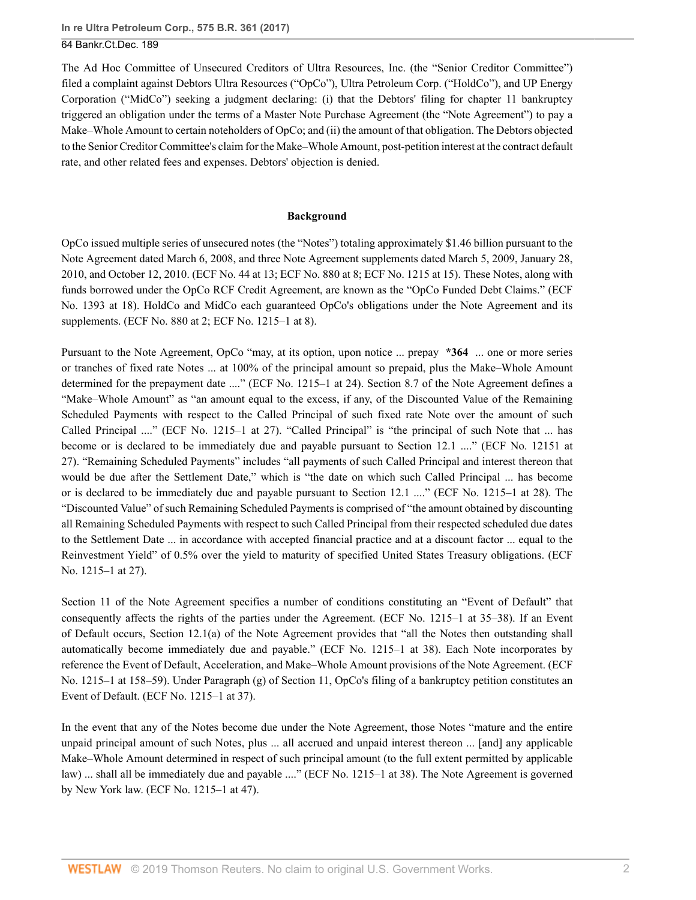The Ad Hoc Committee of Unsecured Creditors of Ultra Resources, Inc. (the "Senior Creditor Committee") filed a complaint against Debtors Ultra Resources ("OpCo"), Ultra Petroleum Corp. ("HoldCo"), and UP Energy Corporation ("MidCo") seeking a judgment declaring: (i) that the Debtors' filing for chapter 11 bankruptcy triggered an obligation under the terms of a Master Note Purchase Agreement (the "Note Agreement") to pay a Make–Whole Amount to certain noteholders of OpCo; and (ii) the amount of that obligation. The Debtors objected to the Senior Creditor Committee's claim for the Make–Whole Amount, post-petition interest at the contract default rate, and other related fees and expenses. Debtors' objection is denied.

#### **Background**

OpCo issued multiple series of unsecured notes (the "Notes") totaling approximately \$1.46 billion pursuant to the Note Agreement dated March 6, 2008, and three Note Agreement supplements dated March 5, 2009, January 28, 2010, and October 12, 2010. (ECF No. 44 at 13; ECF No. 880 at 8; ECF No. 1215 at 15). These Notes, along with funds borrowed under the OpCo RCF Credit Agreement, are known as the "OpCo Funded Debt Claims." (ECF No. 1393 at 18). HoldCo and MidCo each guaranteed OpCo's obligations under the Note Agreement and its supplements. (ECF No. 880 at 2; ECF No. 1215–1 at 8).

Pursuant to the Note Agreement, OpCo "may, at its option, upon notice ... prepay **\*364** ... one or more series or tranches of fixed rate Notes ... at 100% of the principal amount so prepaid, plus the Make–Whole Amount determined for the prepayment date ...." (ECF No. 1215–1 at 24). Section 8.7 of the Note Agreement defines a "Make–Whole Amount" as "an amount equal to the excess, if any, of the Discounted Value of the Remaining Scheduled Payments with respect to the Called Principal of such fixed rate Note over the amount of such Called Principal ...." (ECF No. 1215–1 at 27). "Called Principal" is "the principal of such Note that ... has become or is declared to be immediately due and payable pursuant to Section 12.1 ...." (ECF No. 12151 at 27). "Remaining Scheduled Payments" includes "all payments of such Called Principal and interest thereon that would be due after the Settlement Date," which is "the date on which such Called Principal ... has become or is declared to be immediately due and payable pursuant to Section 12.1 ...." (ECF No. 1215–1 at 28). The "Discounted Value" of such Remaining Scheduled Payments is comprised of "the amount obtained by discounting all Remaining Scheduled Payments with respect to such Called Principal from their respected scheduled due dates to the Settlement Date ... in accordance with accepted financial practice and at a discount factor ... equal to the Reinvestment Yield" of 0.5% over the yield to maturity of specified United States Treasury obligations. (ECF No. 1215–1 at 27).

Section 11 of the Note Agreement specifies a number of conditions constituting an "Event of Default" that consequently affects the rights of the parties under the Agreement. (ECF No. 1215–1 at 35–38). If an Event of Default occurs, Section 12.1(a) of the Note Agreement provides that "all the Notes then outstanding shall automatically become immediately due and payable." (ECF No. 1215–1 at 38). Each Note incorporates by reference the Event of Default, Acceleration, and Make–Whole Amount provisions of the Note Agreement. (ECF No. 1215–1 at 158–59). Under Paragraph (g) of Section 11, OpCo's filing of a bankruptcy petition constitutes an Event of Default. (ECF No. 1215–1 at 37).

In the event that any of the Notes become due under the Note Agreement, those Notes "mature and the entire unpaid principal amount of such Notes, plus ... all accrued and unpaid interest thereon ... [and] any applicable Make–Whole Amount determined in respect of such principal amount (to the full extent permitted by applicable law) ... shall all be immediately due and payable ...." (ECF No. 1215–1 at 38). The Note Agreement is governed by New York law. (ECF No. 1215–1 at 47).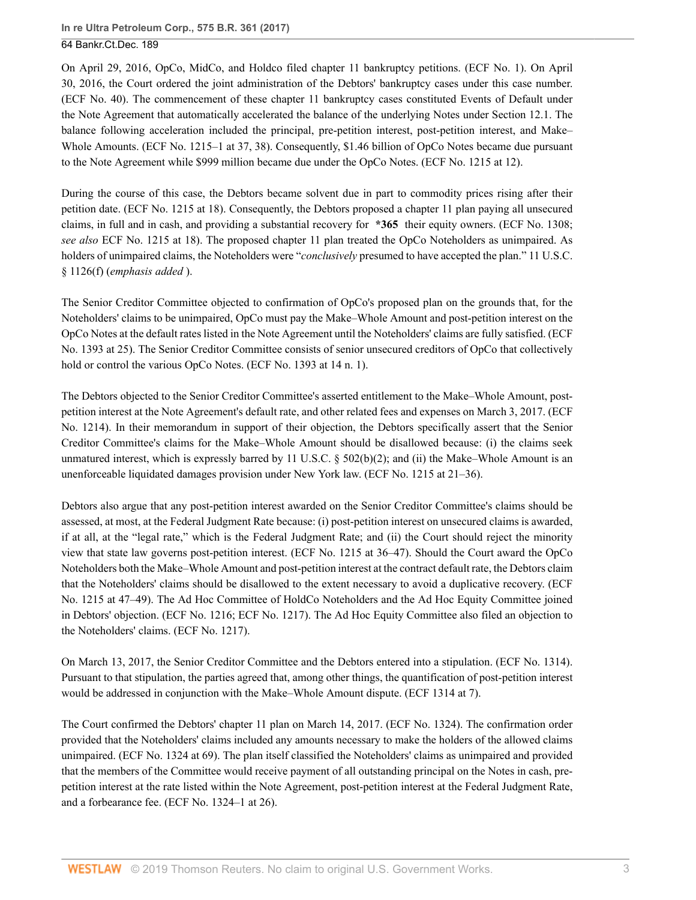On April 29, 2016, OpCo, MidCo, and Holdco filed chapter 11 bankruptcy petitions. (ECF No. 1). On April 30, 2016, the Court ordered the joint administration of the Debtors' bankruptcy cases under this case number. (ECF No. 40). The commencement of these chapter 11 bankruptcy cases constituted Events of Default under the Note Agreement that automatically accelerated the balance of the underlying Notes under Section 12.1. The balance following acceleration included the principal, pre-petition interest, post-petition interest, and Make– Whole Amounts. (ECF No. 1215–1 at 37, 38). Consequently, \$1.46 billion of OpCo Notes became due pursuant to the Note Agreement while \$999 million became due under the OpCo Notes. (ECF No. 1215 at 12).

During the course of this case, the Debtors became solvent due in part to commodity prices rising after their petition date. (ECF No. 1215 at 18). Consequently, the Debtors proposed a chapter 11 plan paying all unsecured claims, in full and in cash, and providing a substantial recovery for **\*365** their equity owners. (ECF No. 1308; *see also* ECF No. 1215 at 18). The proposed chapter 11 plan treated the OpCo Noteholders as unimpaired. As holders of unimpaired claims, the Noteholders were "*conclusively* presumed to have accepted the plan." [11 U.S.C.](http://www.westlaw.com/Link/Document/FullText?findType=L&pubNum=1000546&cite=11USCAS1126&originatingDoc=Id5002620a06411e7ae06bb6d796f727f&refType=SP&originationContext=document&vr=3.0&rs=cblt1.0&transitionType=DocumentItem&contextData=(sc.UserEnteredCitation)#co_pp_ae0d0000c5150) [§ 1126\(f\)](http://www.westlaw.com/Link/Document/FullText?findType=L&pubNum=1000546&cite=11USCAS1126&originatingDoc=Id5002620a06411e7ae06bb6d796f727f&refType=SP&originationContext=document&vr=3.0&rs=cblt1.0&transitionType=DocumentItem&contextData=(sc.UserEnteredCitation)#co_pp_ae0d0000c5150) (*emphasis added* ).

The Senior Creditor Committee objected to confirmation of OpCo's proposed plan on the grounds that, for the Noteholders' claims to be unimpaired, OpCo must pay the Make–Whole Amount and post-petition interest on the OpCo Notes at the default rates listed in the Note Agreement until the Noteholders' claims are fully satisfied. (ECF No. 1393 at 25). The Senior Creditor Committee consists of senior unsecured creditors of OpCo that collectively hold or control the various OpCo Notes. (ECF No. 1393 at 14 n. 1).

The Debtors objected to the Senior Creditor Committee's asserted entitlement to the Make–Whole Amount, postpetition interest at the Note Agreement's default rate, and other related fees and expenses on March 3, 2017. (ECF No. 1214). In their memorandum in support of their objection, the Debtors specifically assert that the Senior Creditor Committee's claims for the Make–Whole Amount should be disallowed because: (i) the claims seek unmatured interest, which is expressly barred by 11 U.S.C.  $\S$  502(b)(2); and (ii) the Make–Whole Amount is an unenforceable liquidated damages provision under New York law. (ECF No. 1215 at 21–36).

Debtors also argue that any post-petition interest awarded on the Senior Creditor Committee's claims should be assessed, at most, at the Federal Judgment Rate because: (i) post-petition interest on unsecured claims is awarded, if at all, at the "legal rate," which is the Federal Judgment Rate; and (ii) the Court should reject the minority view that state law governs post-petition interest. (ECF No. 1215 at 36–47). Should the Court award the OpCo Noteholders both the Make–Whole Amount and post-petition interest at the contract default rate, the Debtors claim that the Noteholders' claims should be disallowed to the extent necessary to avoid a duplicative recovery. (ECF No. 1215 at 47–49). The Ad Hoc Committee of HoldCo Noteholders and the Ad Hoc Equity Committee joined in Debtors' objection. (ECF No. 1216; ECF No. 1217). The Ad Hoc Equity Committee also filed an objection to the Noteholders' claims. (ECF No. 1217).

On March 13, 2017, the Senior Creditor Committee and the Debtors entered into a stipulation. (ECF No. 1314). Pursuant to that stipulation, the parties agreed that, among other things, the quantification of post-petition interest would be addressed in conjunction with the Make–Whole Amount dispute. (ECF 1314 at 7).

The Court confirmed the Debtors' chapter 11 plan on March 14, 2017. (ECF No. 1324). The confirmation order provided that the Noteholders' claims included any amounts necessary to make the holders of the allowed claims unimpaired. (ECF No. 1324 at 69). The plan itself classified the Noteholders' claims as unimpaired and provided that the members of the Committee would receive payment of all outstanding principal on the Notes in cash, prepetition interest at the rate listed within the Note Agreement, post-petition interest at the Federal Judgment Rate, and a forbearance fee. (ECF No. 1324–1 at 26).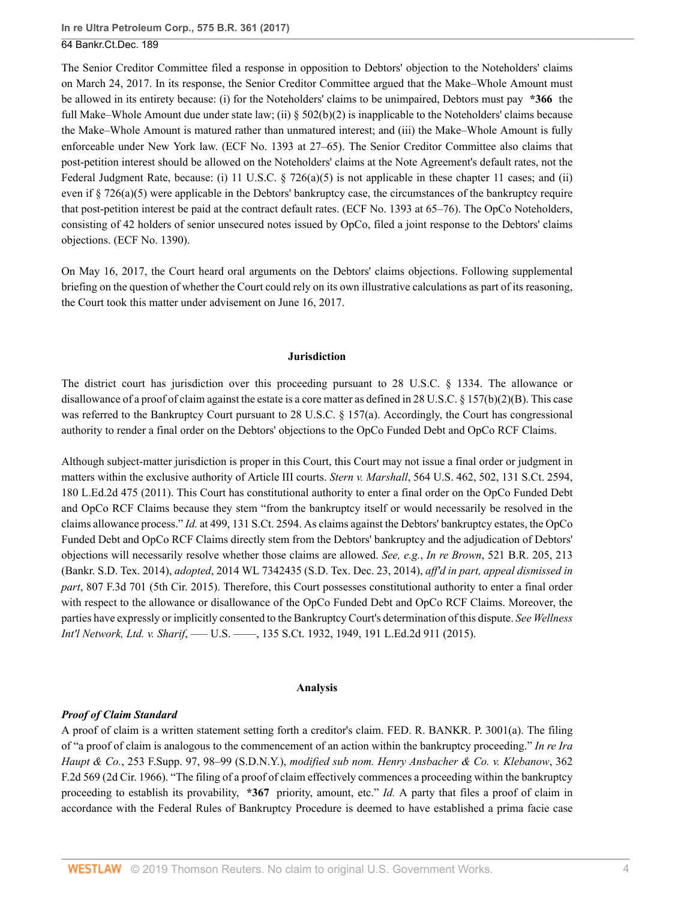The Senior Creditor Committee filed a response in opposition to Debtors' objection to the Noteholders' claims on March 24, 2017. In its response, the Senior Creditor Committee argued that the Make–Whole Amount must be allowed in its entirety because: (i) for the Noteholders' claims to be unimpaired, Debtors must pay **\*366** the full Make–Whole Amount due under state law; (ii)  $\S 502(b)(2)$  is inapplicable to the Noteholders' claims because the Make–Whole Amount is matured rather than unmatured interest; and (iii) the Make–Whole Amount is fully enforceable under New York law. (ECF No. 1393 at 27–65). The Senior Creditor Committee also claims that post-petition interest should be allowed on the Noteholders' claims at the Note Agreement's default rates, not the Federal Judgment Rate, because: (i) [11 U.S.C. § 726\(a\)\(5\)](http://www.westlaw.com/Link/Document/FullText?findType=L&pubNum=1000546&cite=11USCAS726&originatingDoc=Id5002620a06411e7ae06bb6d796f727f&refType=SP&originationContext=document&vr=3.0&rs=cblt1.0&transitionType=DocumentItem&contextData=(sc.UserEnteredCitation)#co_pp_488b0000d05e2) is not applicable in these chapter 11 cases; and (ii) even if [§ 726\(a\)\(5\)](http://www.westlaw.com/Link/Document/FullText?findType=L&pubNum=1000546&cite=11USCAS726&originatingDoc=Id5002620a06411e7ae06bb6d796f727f&refType=SP&originationContext=document&vr=3.0&rs=cblt1.0&transitionType=DocumentItem&contextData=(sc.UserEnteredCitation)#co_pp_488b0000d05e2) were applicable in the Debtors' bankruptcy case, the circumstances of the bankruptcy require that post-petition interest be paid at the contract default rates. (ECF No. 1393 at 65–76). The OpCo Noteholders, consisting of 42 holders of senior unsecured notes issued by OpCo, filed a joint response to the Debtors' claims objections. (ECF No. 1390).

On May 16, 2017, the Court heard oral arguments on the Debtors' claims objections. Following supplemental briefing on the question of whether the Court could rely on its own illustrative calculations as part of its reasoning, the Court took this matter under advisement on June 16, 2017.

#### **Jurisdiction**

The district court has jurisdiction over this proceeding pursuant to [28 U.S.C. § 1334](http://www.westlaw.com/Link/Document/FullText?findType=L&pubNum=1000546&cite=28USCAS1334&originatingDoc=Id5002620a06411e7ae06bb6d796f727f&refType=LQ&originationContext=document&vr=3.0&rs=cblt1.0&transitionType=DocumentItem&contextData=(sc.UserEnteredCitation)). The allowance or disallowance of a proof of claim against the estate is a core matter as defined in [28 U.S.C. § 157\(b\)\(2\)\(B\).](http://www.westlaw.com/Link/Document/FullText?findType=L&pubNum=1000546&cite=28USCAS157&originatingDoc=Id5002620a06411e7ae06bb6d796f727f&refType=SP&originationContext=document&vr=3.0&rs=cblt1.0&transitionType=DocumentItem&contextData=(sc.UserEnteredCitation)#co_pp_424e0000ad683) This case was referred to the Bankruptcy Court pursuant to [28 U.S.C. § 157\(a\)](http://www.westlaw.com/Link/Document/FullText?findType=L&pubNum=1000546&cite=28USCAS157&originatingDoc=Id5002620a06411e7ae06bb6d796f727f&refType=SP&originationContext=document&vr=3.0&rs=cblt1.0&transitionType=DocumentItem&contextData=(sc.UserEnteredCitation)#co_pp_8b3b0000958a4). Accordingly, the Court has congressional authority to render a final order on the Debtors' objections to the OpCo Funded Debt and OpCo RCF Claims.

Although subject-matter jurisdiction is proper in this Court, this Court may not issue a final order or judgment in matters within the exclusive authority of Article III courts. *Stern v. Marshall*[, 564 U.S. 462, 502, 131 S.Ct. 2594,](http://www.westlaw.com/Link/Document/FullText?findType=Y&serNum=2025536615&pubNum=0000708&originatingDoc=Id5002620a06411e7ae06bb6d796f727f&refType=RP&originationContext=document&vr=3.0&rs=cblt1.0&transitionType=DocumentItem&contextData=(sc.UserEnteredCitation)) [180 L.Ed.2d 475 \(2011\)](http://www.westlaw.com/Link/Document/FullText?findType=Y&serNum=2025536615&pubNum=0000708&originatingDoc=Id5002620a06411e7ae06bb6d796f727f&refType=RP&originationContext=document&vr=3.0&rs=cblt1.0&transitionType=DocumentItem&contextData=(sc.UserEnteredCitation)). This Court has constitutional authority to enter a final order on the OpCo Funded Debt and OpCo RCF Claims because they stem "from the bankruptcy itself or would necessarily be resolved in the claims allowance process." *Id.* [at 499, 131 S.Ct. 2594](http://www.westlaw.com/Link/Document/FullText?findType=Y&serNum=2025536615&pubNum=0000708&originatingDoc=Id5002620a06411e7ae06bb6d796f727f&refType=RP&originationContext=document&vr=3.0&rs=cblt1.0&transitionType=DocumentItem&contextData=(sc.UserEnteredCitation)). As claims against the Debtors' bankruptcy estates, the OpCo Funded Debt and OpCo RCF Claims directly stem from the Debtors' bankruptcy and the adjudication of Debtors' objections will necessarily resolve whether those claims are allowed. *See, e.g.*, *In re Brown*[, 521 B.R. 205, 213](http://www.westlaw.com/Link/Document/FullText?findType=Y&serNum=2034646320&pubNum=0000164&originatingDoc=Id5002620a06411e7ae06bb6d796f727f&refType=RP&fi=co_pp_sp_164_213&originationContext=document&vr=3.0&rs=cblt1.0&transitionType=DocumentItem&contextData=(sc.UserEnteredCitation)#co_pp_sp_164_213) [\(Bankr. S.D. Tex. 2014\),](http://www.westlaw.com/Link/Document/FullText?findType=Y&serNum=2034646320&pubNum=0000164&originatingDoc=Id5002620a06411e7ae06bb6d796f727f&refType=RP&fi=co_pp_sp_164_213&originationContext=document&vr=3.0&rs=cblt1.0&transitionType=DocumentItem&contextData=(sc.UserEnteredCitation)#co_pp_sp_164_213) *adopted*, [2014 WL 7342435 \(S.D. Tex. Dec. 23, 2014\),](http://www.westlaw.com/Link/Document/FullText?findType=Y&serNum=2035155329&pubNum=0000999&originatingDoc=Id5002620a06411e7ae06bb6d796f727f&refType=RP&originationContext=document&vr=3.0&rs=cblt1.0&transitionType=DocumentItem&contextData=(sc.UserEnteredCitation)) *aff'd in part, appeal dismissed in part*, [807 F.3d 701 \(5th Cir. 2015\)](http://www.westlaw.com/Link/Document/FullText?findType=Y&serNum=2037675829&pubNum=0000506&originatingDoc=Id5002620a06411e7ae06bb6d796f727f&refType=RP&originationContext=document&vr=3.0&rs=cblt1.0&transitionType=DocumentItem&contextData=(sc.UserEnteredCitation)). Therefore, this Court possesses constitutional authority to enter a final order with respect to the allowance or disallowance of the OpCo Funded Debt and OpCo RCF Claims. Moreover, the parties have expressly or implicitly consented to the Bankruptcy Court's determination of this dispute. *See [Wellness](http://www.westlaw.com/Link/Document/FullText?findType=Y&serNum=2036340204&pubNum=0000708&originatingDoc=Id5002620a06411e7ae06bb6d796f727f&refType=RP&fi=co_pp_sp_708_1949&originationContext=document&vr=3.0&rs=cblt1.0&transitionType=DocumentItem&contextData=(sc.UserEnteredCitation)#co_pp_sp_708_1949) Int'l Network, Ltd. v. Sharif*[, ––– U.S. ––––, 135 S.Ct. 1932, 1949, 191 L.Ed.2d 911 \(2015\).](http://www.westlaw.com/Link/Document/FullText?findType=Y&serNum=2036340204&pubNum=0000708&originatingDoc=Id5002620a06411e7ae06bb6d796f727f&refType=RP&fi=co_pp_sp_708_1949&originationContext=document&vr=3.0&rs=cblt1.0&transitionType=DocumentItem&contextData=(sc.UserEnteredCitation)#co_pp_sp_708_1949)

#### **Analysis**

### *Proof of Claim Standard*

A proof of claim is a written statement setting forth a creditor's claim. [FED. R. BANKR. P. 3001\(a\).](http://www.westlaw.com/Link/Document/FullText?findType=L&pubNum=1000611&cite=USFRBPR3001&originatingDoc=Id5002620a06411e7ae06bb6d796f727f&refType=LQ&originationContext=document&vr=3.0&rs=cblt1.0&transitionType=DocumentItem&contextData=(sc.UserEnteredCitation)) The filing of "a proof of claim is analogous to the commencement of an action within the bankruptcy proceeding." *[In re Ira](http://www.westlaw.com/Link/Document/FullText?findType=Y&serNum=1966118176&pubNum=0000345&originatingDoc=Id5002620a06411e7ae06bb6d796f727f&refType=RP&fi=co_pp_sp_345_98&originationContext=document&vr=3.0&rs=cblt1.0&transitionType=DocumentItem&contextData=(sc.UserEnteredCitation)#co_pp_sp_345_98) Haupt & Co.*[, 253 F.Supp. 97, 98–99 \(S.D.N.Y.\),](http://www.westlaw.com/Link/Document/FullText?findType=Y&serNum=1966118176&pubNum=0000345&originatingDoc=Id5002620a06411e7ae06bb6d796f727f&refType=RP&fi=co_pp_sp_345_98&originationContext=document&vr=3.0&rs=cblt1.0&transitionType=DocumentItem&contextData=(sc.UserEnteredCitation)#co_pp_sp_345_98) *modified sub nom. [Henry Ansbacher & Co. v. Klebanow](http://www.westlaw.com/Link/Document/FullText?findType=Y&serNum=1966121584&pubNum=0000350&originatingDoc=Id5002620a06411e7ae06bb6d796f727f&refType=RP&originationContext=document&vr=3.0&rs=cblt1.0&transitionType=DocumentItem&contextData=(sc.UserEnteredCitation))*, 362 [F.2d 569 \(2d Cir. 1966\).](http://www.westlaw.com/Link/Document/FullText?findType=Y&serNum=1966121584&pubNum=0000350&originatingDoc=Id5002620a06411e7ae06bb6d796f727f&refType=RP&originationContext=document&vr=3.0&rs=cblt1.0&transitionType=DocumentItem&contextData=(sc.UserEnteredCitation)) "The filing of a proof of claim effectively commences a proceeding within the bankruptcy proceeding to establish its provability, **\*367** priority, amount, etc." *[Id.](http://www.westlaw.com/Link/Document/FullText?findType=Y&serNum=1966121584&pubNum=0000350&originatingDoc=Id5002620a06411e7ae06bb6d796f727f&refType=RP&originationContext=document&vr=3.0&rs=cblt1.0&transitionType=DocumentItem&contextData=(sc.UserEnteredCitation))* A party that files a proof of claim in accordance with the Federal Rules of Bankruptcy Procedure is deemed to have established a prima facie case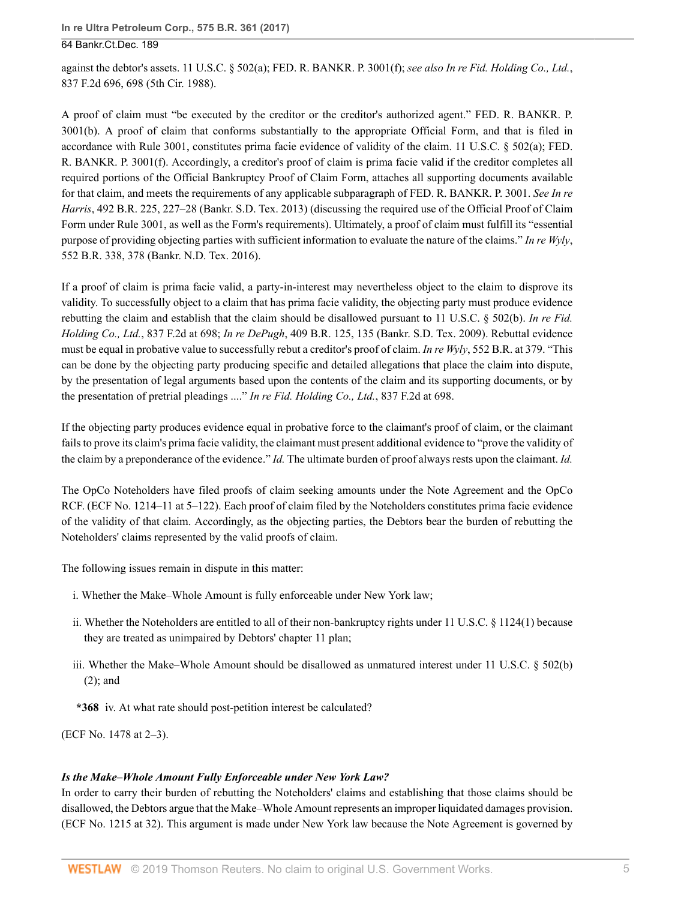against the debtor's assets. [11 U.S.C. § 502\(a\);](http://www.westlaw.com/Link/Document/FullText?findType=L&pubNum=1000546&cite=11USCAS502&originatingDoc=Id5002620a06411e7ae06bb6d796f727f&refType=SP&originationContext=document&vr=3.0&rs=cblt1.0&transitionType=DocumentItem&contextData=(sc.UserEnteredCitation)#co_pp_8b3b0000958a4) [FED. R. BANKR. P. 3001\(f\);](http://www.westlaw.com/Link/Document/FullText?findType=L&pubNum=1000611&cite=USFRBPR3001&originatingDoc=Id5002620a06411e7ae06bb6d796f727f&refType=LQ&originationContext=document&vr=3.0&rs=cblt1.0&transitionType=DocumentItem&contextData=(sc.UserEnteredCitation)) *see also [In re Fid. Holding Co., Ltd.](http://www.westlaw.com/Link/Document/FullText?findType=Y&serNum=1988016766&pubNum=0000350&originatingDoc=Id5002620a06411e7ae06bb6d796f727f&refType=RP&fi=co_pp_sp_350_698&originationContext=document&vr=3.0&rs=cblt1.0&transitionType=DocumentItem&contextData=(sc.UserEnteredCitation)#co_pp_sp_350_698)*, [837 F.2d 696, 698 \(5th Cir. 1988\).](http://www.westlaw.com/Link/Document/FullText?findType=Y&serNum=1988016766&pubNum=0000350&originatingDoc=Id5002620a06411e7ae06bb6d796f727f&refType=RP&fi=co_pp_sp_350_698&originationContext=document&vr=3.0&rs=cblt1.0&transitionType=DocumentItem&contextData=(sc.UserEnteredCitation)#co_pp_sp_350_698)

A proof of claim must "be executed by the creditor or the creditor's authorized agent." [FED. R. BANKR. P.](http://www.westlaw.com/Link/Document/FullText?findType=L&pubNum=1000611&cite=USFRBPR3001&originatingDoc=Id5002620a06411e7ae06bb6d796f727f&refType=LQ&originationContext=document&vr=3.0&rs=cblt1.0&transitionType=DocumentItem&contextData=(sc.UserEnteredCitation)) [3001\(b\).](http://www.westlaw.com/Link/Document/FullText?findType=L&pubNum=1000611&cite=USFRBPR3001&originatingDoc=Id5002620a06411e7ae06bb6d796f727f&refType=LQ&originationContext=document&vr=3.0&rs=cblt1.0&transitionType=DocumentItem&contextData=(sc.UserEnteredCitation)) A proof of claim that conforms substantially to the appropriate Official Form, and that is filed in accordance with [Rule 3001](http://www.westlaw.com/Link/Document/FullText?findType=L&pubNum=1000611&cite=USFRBPR3001&originatingDoc=Id5002620a06411e7ae06bb6d796f727f&refType=LQ&originationContext=document&vr=3.0&rs=cblt1.0&transitionType=DocumentItem&contextData=(sc.UserEnteredCitation)), constitutes prima facie evidence of validity of the claim. [11 U.S.C. § 502\(a\);](http://www.westlaw.com/Link/Document/FullText?findType=L&pubNum=1000546&cite=11USCAS502&originatingDoc=Id5002620a06411e7ae06bb6d796f727f&refType=SP&originationContext=document&vr=3.0&rs=cblt1.0&transitionType=DocumentItem&contextData=(sc.UserEnteredCitation)#co_pp_8b3b0000958a4) [FED.](http://www.westlaw.com/Link/Document/FullText?findType=L&pubNum=1000611&cite=USFRBPR3001&originatingDoc=Id5002620a06411e7ae06bb6d796f727f&refType=LQ&originationContext=document&vr=3.0&rs=cblt1.0&transitionType=DocumentItem&contextData=(sc.UserEnteredCitation)) [R. BANKR. P. 3001\(f\).](http://www.westlaw.com/Link/Document/FullText?findType=L&pubNum=1000611&cite=USFRBPR3001&originatingDoc=Id5002620a06411e7ae06bb6d796f727f&refType=LQ&originationContext=document&vr=3.0&rs=cblt1.0&transitionType=DocumentItem&contextData=(sc.UserEnteredCitation)) Accordingly, a creditor's proof of claim is prima facie valid if the creditor completes all required portions of the Official Bankruptcy Proof of Claim Form, attaches all supporting documents available for that claim, and meets the requirements of any applicable subparagraph of [FED. R. BANKR. P. 3001.](http://www.westlaw.com/Link/Document/FullText?findType=L&pubNum=1000611&cite=USFRBPR3001&originatingDoc=Id5002620a06411e7ae06bb6d796f727f&refType=LQ&originationContext=document&vr=3.0&rs=cblt1.0&transitionType=DocumentItem&contextData=(sc.UserEnteredCitation)) *See [In re](http://www.westlaw.com/Link/Document/FullText?findType=Y&serNum=2030682525&pubNum=0000164&originatingDoc=Id5002620a06411e7ae06bb6d796f727f&refType=RP&fi=co_pp_sp_164_227&originationContext=document&vr=3.0&rs=cblt1.0&transitionType=DocumentItem&contextData=(sc.UserEnteredCitation)#co_pp_sp_164_227) Harris*[, 492 B.R. 225, 227–28 \(Bankr. S.D. Tex. 2013\)](http://www.westlaw.com/Link/Document/FullText?findType=Y&serNum=2030682525&pubNum=0000164&originatingDoc=Id5002620a06411e7ae06bb6d796f727f&refType=RP&fi=co_pp_sp_164_227&originationContext=document&vr=3.0&rs=cblt1.0&transitionType=DocumentItem&contextData=(sc.UserEnteredCitation)#co_pp_sp_164_227) (discussing the required use of the Official Proof of Claim Form under [Rule 3001](http://www.westlaw.com/Link/Document/FullText?findType=L&pubNum=1000611&cite=USFRBPR3001&originatingDoc=Id5002620a06411e7ae06bb6d796f727f&refType=LQ&originationContext=document&vr=3.0&rs=cblt1.0&transitionType=DocumentItem&contextData=(sc.UserEnteredCitation)), as well as the Form's requirements). Ultimately, a proof of claim must fulfill its "essential purpose of providing objecting parties with sufficient information to evaluate the nature of the claims." *[In re Wyly](http://www.westlaw.com/Link/Document/FullText?findType=Y&serNum=2038990777&pubNum=0000164&originatingDoc=Id5002620a06411e7ae06bb6d796f727f&refType=RP&fi=co_pp_sp_164_378&originationContext=document&vr=3.0&rs=cblt1.0&transitionType=DocumentItem&contextData=(sc.UserEnteredCitation)#co_pp_sp_164_378)*, [552 B.R. 338, 378 \(Bankr. N.D. Tex. 2016\)](http://www.westlaw.com/Link/Document/FullText?findType=Y&serNum=2038990777&pubNum=0000164&originatingDoc=Id5002620a06411e7ae06bb6d796f727f&refType=RP&fi=co_pp_sp_164_378&originationContext=document&vr=3.0&rs=cblt1.0&transitionType=DocumentItem&contextData=(sc.UserEnteredCitation)#co_pp_sp_164_378).

If a proof of claim is prima facie valid, a party-in-interest may nevertheless object to the claim to disprove its validity. To successfully object to a claim that has prima facie validity, the objecting party must produce evidence rebutting the claim and establish that the claim should be disallowed pursuant to [11 U.S.C. § 502\(b\)](http://www.westlaw.com/Link/Document/FullText?findType=L&pubNum=1000546&cite=11USCAS502&originatingDoc=Id5002620a06411e7ae06bb6d796f727f&refType=SP&originationContext=document&vr=3.0&rs=cblt1.0&transitionType=DocumentItem&contextData=(sc.UserEnteredCitation)#co_pp_a83b000018c76). *[In re Fid.](http://www.westlaw.com/Link/Document/FullText?findType=Y&serNum=1988016766&pubNum=0000350&originatingDoc=Id5002620a06411e7ae06bb6d796f727f&refType=RP&fi=co_pp_sp_350_698&originationContext=document&vr=3.0&rs=cblt1.0&transitionType=DocumentItem&contextData=(sc.UserEnteredCitation)#co_pp_sp_350_698) [Holding Co., Ltd.](http://www.westlaw.com/Link/Document/FullText?findType=Y&serNum=1988016766&pubNum=0000350&originatingDoc=Id5002620a06411e7ae06bb6d796f727f&refType=RP&fi=co_pp_sp_350_698&originationContext=document&vr=3.0&rs=cblt1.0&transitionType=DocumentItem&contextData=(sc.UserEnteredCitation)#co_pp_sp_350_698)*, 837 F.2d at 698; *In re DePugh*[, 409 B.R. 125, 135 \(Bankr. S.D. Tex. 2009\)](http://www.westlaw.com/Link/Document/FullText?findType=Y&serNum=2019116607&pubNum=0000164&originatingDoc=Id5002620a06411e7ae06bb6d796f727f&refType=RP&fi=co_pp_sp_164_135&originationContext=document&vr=3.0&rs=cblt1.0&transitionType=DocumentItem&contextData=(sc.UserEnteredCitation)#co_pp_sp_164_135). Rebuttal evidence must be equal in probative value to successfully rebut a creditor's proof of claim. *In re Wyly*[, 552 B.R. at 379](http://www.westlaw.com/Link/Document/FullText?findType=Y&serNum=2038990777&pubNum=0000164&originatingDoc=Id5002620a06411e7ae06bb6d796f727f&refType=RP&fi=co_pp_sp_164_379&originationContext=document&vr=3.0&rs=cblt1.0&transitionType=DocumentItem&contextData=(sc.UserEnteredCitation)#co_pp_sp_164_379). "This can be done by the objecting party producing specific and detailed allegations that place the claim into dispute, by the presentation of legal arguments based upon the contents of the claim and its supporting documents, or by the presentation of pretrial pleadings ...." *[In re Fid. Holding Co., Ltd.](http://www.westlaw.com/Link/Document/FullText?findType=Y&serNum=1988016766&pubNum=0000350&originatingDoc=Id5002620a06411e7ae06bb6d796f727f&refType=RP&fi=co_pp_sp_350_698&originationContext=document&vr=3.0&rs=cblt1.0&transitionType=DocumentItem&contextData=(sc.UserEnteredCitation)#co_pp_sp_350_698)*, 837 F.2d at 698.

If the objecting party produces evidence equal in probative force to the claimant's proof of claim, or the claimant fails to prove its claim's prima facie validity, the claimant must present additional evidence to "prove the validity of the claim by a preponderance of the evidence." *[Id.](http://www.westlaw.com/Link/Document/FullText?findType=Y&serNum=1988016766&pubNum=0000350&originatingDoc=Id5002620a06411e7ae06bb6d796f727f&refType=RP&originationContext=document&vr=3.0&rs=cblt1.0&transitionType=DocumentItem&contextData=(sc.UserEnteredCitation))* The ultimate burden of proof always rests upon the claimant. *[Id.](http://www.westlaw.com/Link/Document/FullText?findType=Y&serNum=1988016766&pubNum=0000350&originatingDoc=Id5002620a06411e7ae06bb6d796f727f&refType=RP&originationContext=document&vr=3.0&rs=cblt1.0&transitionType=DocumentItem&contextData=(sc.UserEnteredCitation))*

The OpCo Noteholders have filed proofs of claim seeking amounts under the Note Agreement and the OpCo RCF. (ECF No. 1214–11 at 5–122). Each proof of claim filed by the Noteholders constitutes prima facie evidence of the validity of that claim. Accordingly, as the objecting parties, the Debtors bear the burden of rebutting the Noteholders' claims represented by the valid proofs of claim.

The following issues remain in dispute in this matter:

- i. Whether the Make–Whole Amount is fully enforceable under New York law;
- ii. Whether the Noteholders are entitled to all of their non-bankruptcy rights under [11 U.S.C. § 1124\(1\)](http://www.westlaw.com/Link/Document/FullText?findType=L&pubNum=1000546&cite=11USCAS1124&originatingDoc=Id5002620a06411e7ae06bb6d796f727f&refType=SP&originationContext=document&vr=3.0&rs=cblt1.0&transitionType=DocumentItem&contextData=(sc.UserEnteredCitation)#co_pp_f1c50000821b0) because they are treated as unimpaired by Debtors' chapter 11 plan;
- iii. Whether the Make–Whole Amount should be disallowed as unmatured interest under [11 U.S.C. § 502\(b\)](http://www.westlaw.com/Link/Document/FullText?findType=L&pubNum=1000546&cite=11USCAS502&originatingDoc=Id5002620a06411e7ae06bb6d796f727f&refType=SP&originationContext=document&vr=3.0&rs=cblt1.0&transitionType=DocumentItem&contextData=(sc.UserEnteredCitation)#co_pp_c0ae00006c482) [\(2\);](http://www.westlaw.com/Link/Document/FullText?findType=L&pubNum=1000546&cite=11USCAS502&originatingDoc=Id5002620a06411e7ae06bb6d796f727f&refType=SP&originationContext=document&vr=3.0&rs=cblt1.0&transitionType=DocumentItem&contextData=(sc.UserEnteredCitation)#co_pp_c0ae00006c482) and
- **\*368** iv. At what rate should post-petition interest be calculated?

(ECF No. 1478 at 2–3).

#### *Is the Make–Whole Amount Fully Enforceable under New York Law?*

In order to carry their burden of rebutting the Noteholders' claims and establishing that those claims should be disallowed, the Debtors argue that the Make–Whole Amount represents an improper liquidated damages provision. (ECF No. 1215 at 32). This argument is made under New York law because the Note Agreement is governed by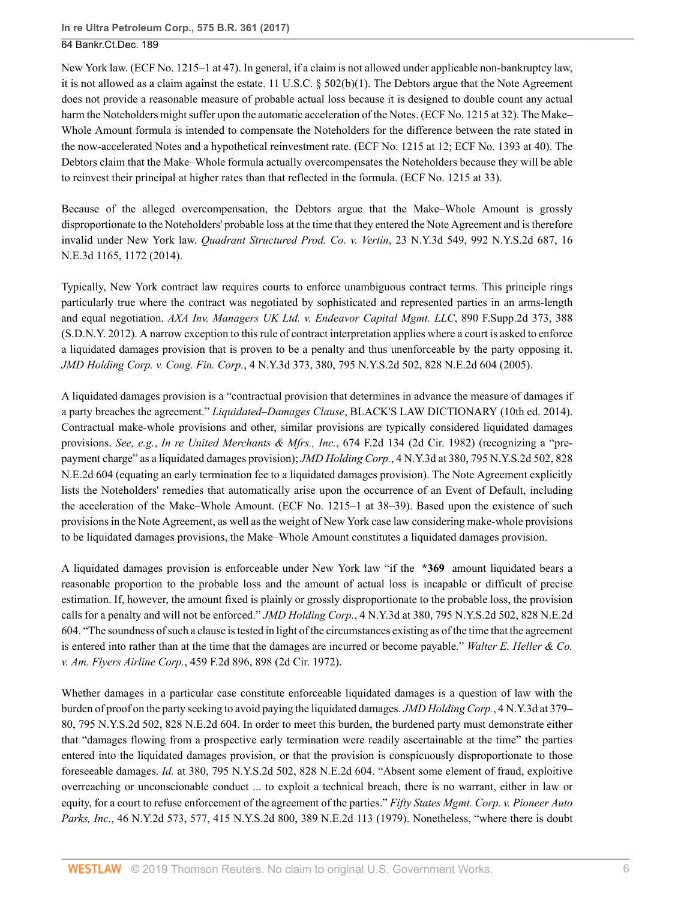New York law. (ECF No. 1215–1 at 47). In general, if a claim is not allowed under applicable non-bankruptcy law, it is not allowed as a claim against the estate. [11 U.S.C. § 502\(b\)\(1\).](http://www.westlaw.com/Link/Document/FullText?findType=L&pubNum=1000546&cite=11USCAS502&originatingDoc=Id5002620a06411e7ae06bb6d796f727f&refType=SP&originationContext=document&vr=3.0&rs=cblt1.0&transitionType=DocumentItem&contextData=(sc.UserEnteredCitation)#co_pp_3fed000053a85) The Debtors argue that the Note Agreement does not provide a reasonable measure of probable actual loss because it is designed to double count any actual harm the Noteholders might suffer upon the automatic acceleration of the Notes. (ECF No. 1215 at 32). The Make– Whole Amount formula is intended to compensate the Noteholders for the difference between the rate stated in the now-accelerated Notes and a hypothetical reinvestment rate. (ECF No. 1215 at 12; ECF No. 1393 at 40). The Debtors claim that the Make–Whole formula actually overcompensates the Noteholders because they will be able to reinvest their principal at higher rates than that reflected in the formula. (ECF No. 1215 at 33).

Because of the alleged overcompensation, the Debtors argue that the Make–Whole Amount is grossly disproportionate to the Noteholders' probable loss at the time that they entered the Note Agreement and is therefore invalid under New York law. *[Quadrant Structured Prod. Co. v. Vertin](http://www.westlaw.com/Link/Document/FullText?findType=Y&serNum=2033552740&pubNum=0007902&originatingDoc=Id5002620a06411e7ae06bb6d796f727f&refType=RP&fi=co_pp_sp_7902_1172&originationContext=document&vr=3.0&rs=cblt1.0&transitionType=DocumentItem&contextData=(sc.UserEnteredCitation)#co_pp_sp_7902_1172)*, 23 N.Y.3d 549, 992 N.Y.S.2d 687, 16 [N.E.3d 1165, 1172 \(2014\)](http://www.westlaw.com/Link/Document/FullText?findType=Y&serNum=2033552740&pubNum=0007902&originatingDoc=Id5002620a06411e7ae06bb6d796f727f&refType=RP&fi=co_pp_sp_7902_1172&originationContext=document&vr=3.0&rs=cblt1.0&transitionType=DocumentItem&contextData=(sc.UserEnteredCitation)#co_pp_sp_7902_1172).

Typically, New York contract law requires courts to enforce unambiguous contract terms. This principle rings particularly true where the contract was negotiated by sophisticated and represented parties in an arms-length and equal negotiation. *[AXA Inv. Managers UK Ltd. v. Endeavor Capital Mgmt. LLC](http://www.westlaw.com/Link/Document/FullText?findType=Y&serNum=2028515730&pubNum=0004637&originatingDoc=Id5002620a06411e7ae06bb6d796f727f&refType=RP&fi=co_pp_sp_4637_388&originationContext=document&vr=3.0&rs=cblt1.0&transitionType=DocumentItem&contextData=(sc.UserEnteredCitation)#co_pp_sp_4637_388)*, 890 F.Supp.2d 373, 388 [\(S.D.N.Y. 2012\)](http://www.westlaw.com/Link/Document/FullText?findType=Y&serNum=2028515730&pubNum=0004637&originatingDoc=Id5002620a06411e7ae06bb6d796f727f&refType=RP&fi=co_pp_sp_4637_388&originationContext=document&vr=3.0&rs=cblt1.0&transitionType=DocumentItem&contextData=(sc.UserEnteredCitation)#co_pp_sp_4637_388). A narrow exception to this rule of contract interpretation applies where a court is asked to enforce a liquidated damages provision that is proven to be a penalty and thus unenforceable by the party opposing it. *JMD Holding Corp. v. Cong. Fin. Corp.*[, 4 N.Y.3d 373, 380, 795 N.Y.S.2d 502, 828 N.E.2d 604 \(2005\)](http://www.westlaw.com/Link/Document/FullText?findType=Y&serNum=2006403464&pubNum=0000578&originatingDoc=Id5002620a06411e7ae06bb6d796f727f&refType=RP&originationContext=document&vr=3.0&rs=cblt1.0&transitionType=DocumentItem&contextData=(sc.UserEnteredCitation)).

A liquidated damages provision is a "contractual provision that determines in advance the measure of damages if a party breaches the agreement." *Liquidated–Damages Clause*, BLACK'S LAW DICTIONARY (10th ed. 2014). Contractual make-whole provisions and other, similar provisions are typically considered liquidated damages provisions. *See, e.g.*, *[In re United Merchants & Mfrs., Inc.](http://www.westlaw.com/Link/Document/FullText?findType=Y&serNum=1982111054&pubNum=0000350&originatingDoc=Id5002620a06411e7ae06bb6d796f727f&refType=RP&originationContext=document&vr=3.0&rs=cblt1.0&transitionType=DocumentItem&contextData=(sc.UserEnteredCitation))*, 674 F.2d 134 (2d Cir. 1982) (recognizing a "prepayment charge" as a liquidated damages provision); *JMD Holding Corp.*[, 4 N.Y.3d at 380, 795 N.Y.S.2d 502, 828](http://www.westlaw.com/Link/Document/FullText?findType=Y&serNum=2006403464&pubNum=0000578&originatingDoc=Id5002620a06411e7ae06bb6d796f727f&refType=RP&originationContext=document&vr=3.0&rs=cblt1.0&transitionType=DocumentItem&contextData=(sc.UserEnteredCitation)) [N.E.2d 604](http://www.westlaw.com/Link/Document/FullText?findType=Y&serNum=2006403464&pubNum=0000578&originatingDoc=Id5002620a06411e7ae06bb6d796f727f&refType=RP&originationContext=document&vr=3.0&rs=cblt1.0&transitionType=DocumentItem&contextData=(sc.UserEnteredCitation)) (equating an early termination fee to a liquidated damages provision). The Note Agreement explicitly lists the Noteholders' remedies that automatically arise upon the occurrence of an Event of Default, including the acceleration of the Make–Whole Amount. (ECF No. 1215–1 at 38–39). Based upon the existence of such provisions in the Note Agreement, as well as the weight of New York case law considering make-whole provisions to be liquidated damages provisions, the Make–Whole Amount constitutes a liquidated damages provision.

A liquidated damages provision is enforceable under New York law "if the **\*369** amount liquidated bears a reasonable proportion to the probable loss and the amount of actual loss is incapable or difficult of precise estimation. If, however, the amount fixed is plainly or grossly disproportionate to the probable loss, the provision calls for a penalty and will not be enforced." *JMD Holding Corp.*[, 4 N.Y.3d at 380, 795 N.Y.S.2d 502, 828 N.E.2d](http://www.westlaw.com/Link/Document/FullText?findType=Y&serNum=2006403464&pubNum=0000578&originatingDoc=Id5002620a06411e7ae06bb6d796f727f&refType=RP&originationContext=document&vr=3.0&rs=cblt1.0&transitionType=DocumentItem&contextData=(sc.UserEnteredCitation)) [604](http://www.westlaw.com/Link/Document/FullText?findType=Y&serNum=2006403464&pubNum=0000578&originatingDoc=Id5002620a06411e7ae06bb6d796f727f&refType=RP&originationContext=document&vr=3.0&rs=cblt1.0&transitionType=DocumentItem&contextData=(sc.UserEnteredCitation)). "The soundness of such a clause is tested in light of the circumstances existing as of the time that the agreement is entered into rather than at the time that the damages are incurred or become payable." *[Walter E. Heller & Co.](http://www.westlaw.com/Link/Document/FullText?findType=Y&serNum=1972109812&pubNum=0000350&originatingDoc=Id5002620a06411e7ae06bb6d796f727f&refType=RP&fi=co_pp_sp_350_898&originationContext=document&vr=3.0&rs=cblt1.0&transitionType=DocumentItem&contextData=(sc.UserEnteredCitation)#co_pp_sp_350_898) v. Am. Flyers Airline Corp.*[, 459 F.2d 896, 898 \(2d Cir. 1972\)](http://www.westlaw.com/Link/Document/FullText?findType=Y&serNum=1972109812&pubNum=0000350&originatingDoc=Id5002620a06411e7ae06bb6d796f727f&refType=RP&fi=co_pp_sp_350_898&originationContext=document&vr=3.0&rs=cblt1.0&transitionType=DocumentItem&contextData=(sc.UserEnteredCitation)#co_pp_sp_350_898).

Whether damages in a particular case constitute enforceable liquidated damages is a question of law with the burden of proof on the party seeking to avoid paying the liquidated damages. *[JMD Holding Corp.](http://www.westlaw.com/Link/Document/FullText?findType=Y&serNum=2006403464&pubNum=0000578&originatingDoc=Id5002620a06411e7ae06bb6d796f727f&refType=RP&originationContext=document&vr=3.0&rs=cblt1.0&transitionType=DocumentItem&contextData=(sc.UserEnteredCitation))*, 4 N.Y.3d at 379– [80, 795 N.Y.S.2d 502, 828 N.E.2d 604.](http://www.westlaw.com/Link/Document/FullText?findType=Y&serNum=2006403464&pubNum=0000578&originatingDoc=Id5002620a06411e7ae06bb6d796f727f&refType=RP&originationContext=document&vr=3.0&rs=cblt1.0&transitionType=DocumentItem&contextData=(sc.UserEnteredCitation)) In order to meet this burden, the burdened party must demonstrate either that "damages flowing from a prospective early termination were readily ascertainable at the time" the parties entered into the liquidated damages provision, or that the provision is conspicuously disproportionate to those foreseeable damages. *Id.* [at 380, 795 N.Y.S.2d 502, 828 N.E.2d 604](http://www.westlaw.com/Link/Document/FullText?findType=Y&serNum=2006403464&pubNum=0000578&originatingDoc=Id5002620a06411e7ae06bb6d796f727f&refType=RP&originationContext=document&vr=3.0&rs=cblt1.0&transitionType=DocumentItem&contextData=(sc.UserEnteredCitation)). "Absent some element of fraud, exploitive overreaching or unconscionable conduct ... to exploit a technical breach, there is no warrant, either in law or equity, for a court to refuse enforcement of the agreement of the parties." *[Fifty States Mgmt. Corp. v. Pioneer Auto](http://www.westlaw.com/Link/Document/FullText?findType=Y&serNum=1979118097&pubNum=0000578&originatingDoc=Id5002620a06411e7ae06bb6d796f727f&refType=RP&originationContext=document&vr=3.0&rs=cblt1.0&transitionType=DocumentItem&contextData=(sc.UserEnteredCitation)) Parks, Inc.*[, 46 N.Y.2d 573, 577, 415 N.Y.S.2d 800, 389 N.E.2d 113 \(1979\).](http://www.westlaw.com/Link/Document/FullText?findType=Y&serNum=1979118097&pubNum=0000578&originatingDoc=Id5002620a06411e7ae06bb6d796f727f&refType=RP&originationContext=document&vr=3.0&rs=cblt1.0&transitionType=DocumentItem&contextData=(sc.UserEnteredCitation)) Nonetheless, "where there is doubt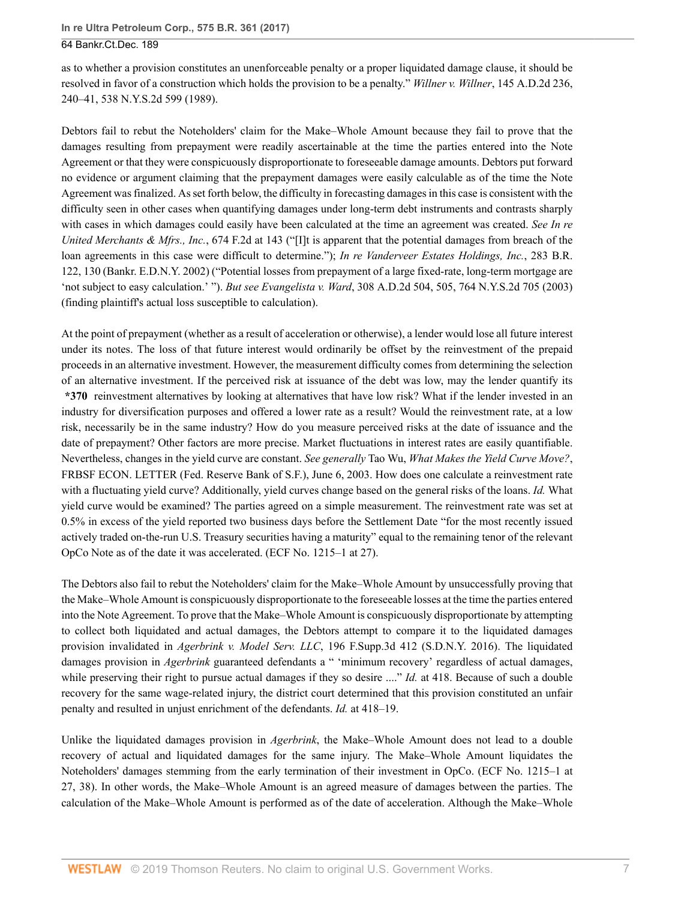as to whether a provision constitutes an unenforceable penalty or a proper liquidated damage clause, it should be resolved in favor of a construction which holds the provision to be a penalty." *Willner v. Willner*[, 145 A.D.2d 236,](http://www.westlaw.com/Link/Document/FullText?findType=Y&serNum=1989040310&pubNum=0000602&originatingDoc=Id5002620a06411e7ae06bb6d796f727f&refType=RP&originationContext=document&vr=3.0&rs=cblt1.0&transitionType=DocumentItem&contextData=(sc.UserEnteredCitation)) [240–41, 538 N.Y.S.2d 599 \(1989\)](http://www.westlaw.com/Link/Document/FullText?findType=Y&serNum=1989040310&pubNum=0000602&originatingDoc=Id5002620a06411e7ae06bb6d796f727f&refType=RP&originationContext=document&vr=3.0&rs=cblt1.0&transitionType=DocumentItem&contextData=(sc.UserEnteredCitation)).

Debtors fail to rebut the Noteholders' claim for the Make–Whole Amount because they fail to prove that the damages resulting from prepayment were readily ascertainable at the time the parties entered into the Note Agreement or that they were conspicuously disproportionate to foreseeable damage amounts. Debtors put forward no evidence or argument claiming that the prepayment damages were easily calculable as of the time the Note Agreement was finalized. As set forth below, the difficulty in forecasting damages in this case is consistent with the difficulty seen in other cases when quantifying damages under long-term debt instruments and contrasts sharply with cases in which damages could easily have been calculated at the time an agreement was created. *See [In re](http://www.westlaw.com/Link/Document/FullText?findType=Y&serNum=1982111054&pubNum=0000350&originatingDoc=Id5002620a06411e7ae06bb6d796f727f&refType=RP&fi=co_pp_sp_350_143&originationContext=document&vr=3.0&rs=cblt1.0&transitionType=DocumentItem&contextData=(sc.UserEnteredCitation)#co_pp_sp_350_143) [United Merchants & Mfrs., Inc.](http://www.westlaw.com/Link/Document/FullText?findType=Y&serNum=1982111054&pubNum=0000350&originatingDoc=Id5002620a06411e7ae06bb6d796f727f&refType=RP&fi=co_pp_sp_350_143&originationContext=document&vr=3.0&rs=cblt1.0&transitionType=DocumentItem&contextData=(sc.UserEnteredCitation)#co_pp_sp_350_143)*, 674 F.2d at 143 ("[I]t is apparent that the potential damages from breach of the loan agreements in this case were difficult to determine."); *[In re Vanderveer Estates Holdings, Inc.](http://www.westlaw.com/Link/Document/FullText?findType=Y&serNum=2002570453&pubNum=0000164&originatingDoc=Id5002620a06411e7ae06bb6d796f727f&refType=RP&fi=co_pp_sp_164_130&originationContext=document&vr=3.0&rs=cblt1.0&transitionType=DocumentItem&contextData=(sc.UserEnteredCitation)#co_pp_sp_164_130)*, 283 B.R. [122, 130 \(Bankr. E.D.N.Y. 2002\)](http://www.westlaw.com/Link/Document/FullText?findType=Y&serNum=2002570453&pubNum=0000164&originatingDoc=Id5002620a06411e7ae06bb6d796f727f&refType=RP&fi=co_pp_sp_164_130&originationContext=document&vr=3.0&rs=cblt1.0&transitionType=DocumentItem&contextData=(sc.UserEnteredCitation)#co_pp_sp_164_130) ("Potential losses from prepayment of a large fixed-rate, long-term mortgage are 'not subject to easy calculation.' "). *But see Evangelista v. Ward*[, 308 A.D.2d 504, 505, 764 N.Y.S.2d 705 \(2003\)](http://www.westlaw.com/Link/Document/FullText?findType=Y&serNum=2003646007&pubNum=0000602&originatingDoc=Id5002620a06411e7ae06bb6d796f727f&refType=RP&originationContext=document&vr=3.0&rs=cblt1.0&transitionType=DocumentItem&contextData=(sc.UserEnteredCitation)) (finding plaintiff's actual loss susceptible to calculation).

At the point of prepayment (whether as a result of acceleration or otherwise), a lender would lose all future interest under its notes. The loss of that future interest would ordinarily be offset by the reinvestment of the prepaid proceeds in an alternative investment. However, the measurement difficulty comes from determining the selection of an alternative investment. If the perceived risk at issuance of the debt was low, may the lender quantify its **\*370** reinvestment alternatives by looking at alternatives that have low risk? What if the lender invested in an industry for diversification purposes and offered a lower rate as a result? Would the reinvestment rate, at a low risk, necessarily be in the same industry? How do you measure perceived risks at the date of issuance and the date of prepayment? Other factors are more precise. Market fluctuations in interest rates are easily quantifiable. Nevertheless, changes in the yield curve are constant. *See generally* Tao Wu, *What Makes the Yield Curve Move?*, FRBSF ECON. LETTER (Fed. Reserve Bank of S.F.), June 6, 2003. How does one calculate a reinvestment rate with a fluctuating yield curve? Additionally, yield curves change based on the general risks of the loans. *Id.* What yield curve would be examined? The parties agreed on a simple measurement. The reinvestment rate was set at 0.5% in excess of the yield reported two business days before the Settlement Date "for the most recently issued actively traded on-the-run U.S. Treasury securities having a maturity" equal to the remaining tenor of the relevant OpCo Note as of the date it was accelerated. (ECF No. 1215–1 at 27).

The Debtors also fail to rebut the Noteholders' claim for the Make–Whole Amount by unsuccessfully proving that the Make–Whole Amount is conspicuously disproportionate to the foreseeable losses at the time the parties entered into the Note Agreement. To prove that the Make–Whole Amount is conspicuously disproportionate by attempting to collect both liquidated and actual damages, the Debtors attempt to compare it to the liquidated damages provision invalidated in *Agerbrink v. Model Serv. LLC*[, 196 F.Supp.3d 412 \(S.D.N.Y. 2016\).](http://www.westlaw.com/Link/Document/FullText?findType=Y&serNum=2039433435&pubNum=0007903&originatingDoc=Id5002620a06411e7ae06bb6d796f727f&refType=RP&originationContext=document&vr=3.0&rs=cblt1.0&transitionType=DocumentItem&contextData=(sc.UserEnteredCitation)) The liquidated damages provision in *[Agerbrink](http://www.westlaw.com/Link/Document/FullText?findType=Y&serNum=2039433435&pubNum=0007903&originatingDoc=Id5002620a06411e7ae06bb6d796f727f&refType=RP&originationContext=document&vr=3.0&rs=cblt1.0&transitionType=DocumentItem&contextData=(sc.UserEnteredCitation))* guaranteed defendants a " 'minimum recovery' regardless of actual damages, while preserving their right to pursue actual damages if they so desire ...." *Id.* [at 418.](http://www.westlaw.com/Link/Document/FullText?findType=Y&serNum=2039433435&pubNum=0007903&originatingDoc=Id5002620a06411e7ae06bb6d796f727f&refType=RP&fi=co_pp_sp_7903_418&originationContext=document&vr=3.0&rs=cblt1.0&transitionType=DocumentItem&contextData=(sc.UserEnteredCitation)#co_pp_sp_7903_418) Because of such a double recovery for the same wage-related injury, the district court determined that this provision constituted an unfair penalty and resulted in unjust enrichment of the defendants. *Id.* [at 418–19](http://www.westlaw.com/Link/Document/FullText?findType=Y&serNum=2039433435&pubNum=0007903&originatingDoc=Id5002620a06411e7ae06bb6d796f727f&refType=RP&fi=co_pp_sp_7903_418&originationContext=document&vr=3.0&rs=cblt1.0&transitionType=DocumentItem&contextData=(sc.UserEnteredCitation)#co_pp_sp_7903_418).

Unlike the liquidated damages provision in *[Agerbrink](http://www.westlaw.com/Link/Document/FullText?findType=Y&serNum=2039433435&pubNum=0007903&originatingDoc=Id5002620a06411e7ae06bb6d796f727f&refType=RP&originationContext=document&vr=3.0&rs=cblt1.0&transitionType=DocumentItem&contextData=(sc.UserEnteredCitation))*, the Make–Whole Amount does not lead to a double recovery of actual and liquidated damages for the same injury. The Make–Whole Amount liquidates the Noteholders' damages stemming from the early termination of their investment in OpCo. (ECF No. 1215–1 at 27, 38). In other words, the Make–Whole Amount is an agreed measure of damages between the parties. The calculation of the Make–Whole Amount is performed as of the date of acceleration. Although the Make–Whole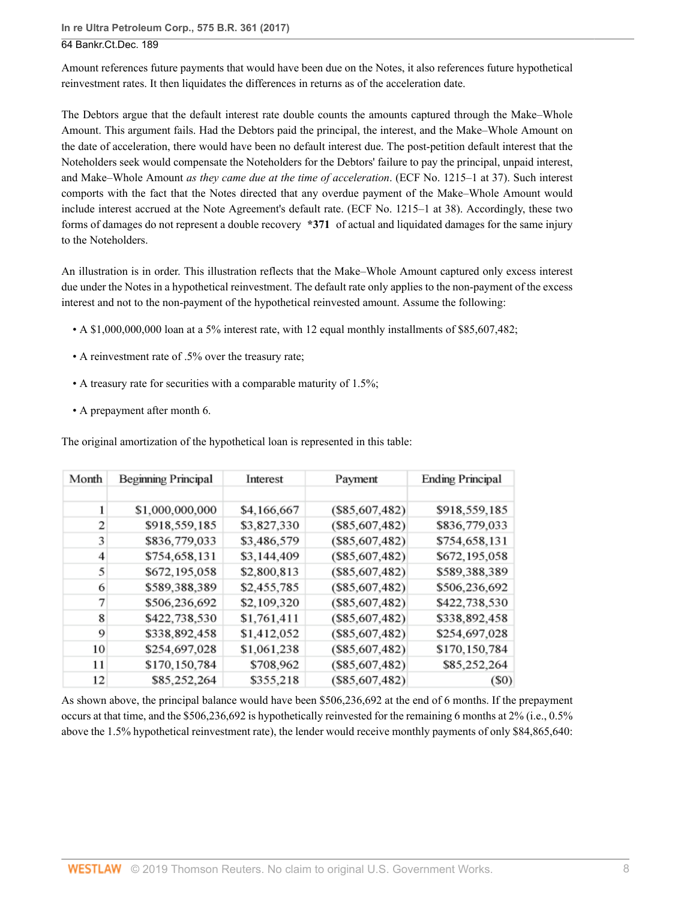**In re Ultra Petroleum Corp., 575 B.R. 361 (2017)**

## 64 Bankr.Ct.Dec. 189

Amount references future payments that would have been due on the Notes, it also references future hypothetical reinvestment rates. It then liquidates the differences in returns as of the acceleration date.

The Debtors argue that the default interest rate double counts the amounts captured through the Make–Whole Amount. This argument fails. Had the Debtors paid the principal, the interest, and the Make–Whole Amount on the date of acceleration, there would have been no default interest due. The post-petition default interest that the Noteholders seek would compensate the Noteholders for the Debtors' failure to pay the principal, unpaid interest, and Make–Whole Amount *as they came due at the time of acceleration*. (ECF No. 1215–1 at 37). Such interest comports with the fact that the Notes directed that any overdue payment of the Make–Whole Amount would include interest accrued at the Note Agreement's default rate. (ECF No. 1215–1 at 38). Accordingly, these two forms of damages do not represent a double recovery **\*371** of actual and liquidated damages for the same injury to the Noteholders.

An illustration is in order. This illustration reflects that the Make–Whole Amount captured only excess interest due under the Notes in a hypothetical reinvestment. The default rate only applies to the non-payment of the excess interest and not to the non-payment of the hypothetical reinvested amount. Assume the following:

- A \$1,000,000,000 loan at a 5% interest rate, with 12 equal monthly installments of \$85,607,482;
- A reinvestment rate of .5% over the treasury rate;
- A treasury rate for securities with a comparable maturity of 1.5%;
- A prepayment after month 6.

The original amortization of the hypothetical loan is represented in this table:

| Month | <b>Beginning Principal</b> | Interest    | Payment         | <b>Ending Principal</b> |
|-------|----------------------------|-------------|-----------------|-------------------------|
|       |                            |             |                 |                         |
| 1     | \$1,000,000,000            | \$4,166,667 | (\$85,607,482)  | \$918,559,185           |
| 2     | \$918,559,185              | \$3,827,330 | (S85, 607, 482) | \$836,779,033           |
| 3     | \$836,779,033              | \$3,486,579 | (S85, 607, 482) | \$754,658,131           |
| 4     | \$754,658,131              | \$3,144,409 | (\$85,607,482)  | \$672,195,058           |
| 5     | \$672,195,058              | \$2,800,813 | (S85, 607, 482) | \$589,388,389           |
| 6     | \$589,388,389              | \$2,455,785 | (\$85,607,482)  | \$506,236,692           |
| 7     | \$506,236,692              | \$2,109,320 | (S85, 607, 482) | \$422,738,530           |
| 8     | \$422,738,530              | \$1,761,411 | (S85, 607, 482) | \$338,892,458           |
| 9     | \$338,892,458              | \$1,412,052 | (S85, 607, 482) | \$254,697,028           |
| 10    | \$254,697,028              | \$1,061,238 | (S85, 607, 482) | \$170,150,784           |
| 11    | \$170,150,784              | \$708,962   | (S85, 607, 482) | \$85,252,264            |
| 12    | \$85,252,264               | \$355,218   | (S85, 607, 482) | $($ \$0)                |

As shown above, the principal balance would have been \$506,236,692 at the end of 6 months. If the prepayment occurs at that time, and the \$506,236,692 is hypothetically reinvested for the remaining 6 months at 2% (i.e., 0.5% above the 1.5% hypothetical reinvestment rate), the lender would receive monthly payments of only \$84,865,640: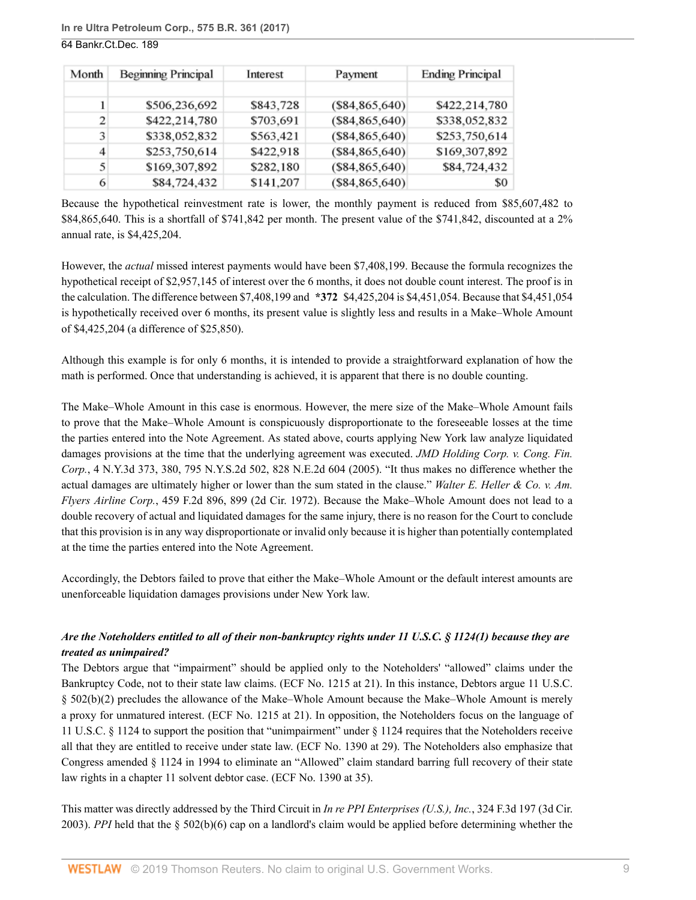| Month | <b>Beginning Principal</b> | Interest  | Payment         | <b>Ending Principal</b> |
|-------|----------------------------|-----------|-----------------|-------------------------|
|       |                            |           |                 |                         |
|       | \$506,236,692              | \$843,728 | (S84, 865, 640) | \$422,214,780           |
| 2     | \$422,214,780              | \$703,691 | (S84, 865, 640) | \$338,052,832           |
| 3     | \$338,052,832              | \$563,421 | (S84, 865, 640) | \$253,750,614           |
| 4     | \$253,750,614              | \$422,918 | (S84, 865, 640) | \$169,307,892           |
| 5     | \$169,307,892              | \$282,180 | (S84, 865, 640) | \$84,724,432            |
| 6     | \$84,724,432               | \$141,207 | (S84, 865, 640) | \$0                     |

Because the hypothetical reinvestment rate is lower, the monthly payment is reduced from \$85,607,482 to \$84,865,640. This is a shortfall of \$741,842 per month. The present value of the \$741,842, discounted at a 2% annual rate, is \$4,425,204.

However, the *actual* missed interest payments would have been \$7,408,199. Because the formula recognizes the hypothetical receipt of \$2,957,145 of interest over the 6 months, it does not double count interest. The proof is in the calculation. The difference between \$7,408,199 and **\*372** \$4,425,204 is \$4,451,054. Because that \$4,451,054 is hypothetically received over 6 months, its present value is slightly less and results in a Make–Whole Amount of \$4,425,204 (a difference of \$25,850).

Although this example is for only 6 months, it is intended to provide a straightforward explanation of how the math is performed. Once that understanding is achieved, it is apparent that there is no double counting.

The Make–Whole Amount in this case is enormous. However, the mere size of the Make–Whole Amount fails to prove that the Make–Whole Amount is conspicuously disproportionate to the foreseeable losses at the time the parties entered into the Note Agreement. As stated above, courts applying New York law analyze liquidated damages provisions at the time that the underlying agreement was executed. *[JMD Holding Corp. v. Cong. Fin.](http://www.westlaw.com/Link/Document/FullText?findType=Y&serNum=2006403464&pubNum=0000578&originatingDoc=Id5002620a06411e7ae06bb6d796f727f&refType=RP&originationContext=document&vr=3.0&rs=cblt1.0&transitionType=DocumentItem&contextData=(sc.UserEnteredCitation)) Corp.*[, 4 N.Y.3d 373, 380, 795 N.Y.S.2d 502, 828 N.E.2d 604 \(2005\).](http://www.westlaw.com/Link/Document/FullText?findType=Y&serNum=2006403464&pubNum=0000578&originatingDoc=Id5002620a06411e7ae06bb6d796f727f&refType=RP&originationContext=document&vr=3.0&rs=cblt1.0&transitionType=DocumentItem&contextData=(sc.UserEnteredCitation)) "It thus makes no difference whether the actual damages are ultimately higher or lower than the sum stated in the clause." *[Walter E. Heller & Co. v. Am.](http://www.westlaw.com/Link/Document/FullText?findType=Y&serNum=1972109812&pubNum=0000350&originatingDoc=Id5002620a06411e7ae06bb6d796f727f&refType=RP&fi=co_pp_sp_350_899&originationContext=document&vr=3.0&rs=cblt1.0&transitionType=DocumentItem&contextData=(sc.UserEnteredCitation)#co_pp_sp_350_899) Flyers Airline Corp.*[, 459 F.2d 896, 899 \(2d Cir. 1972\).](http://www.westlaw.com/Link/Document/FullText?findType=Y&serNum=1972109812&pubNum=0000350&originatingDoc=Id5002620a06411e7ae06bb6d796f727f&refType=RP&fi=co_pp_sp_350_899&originationContext=document&vr=3.0&rs=cblt1.0&transitionType=DocumentItem&contextData=(sc.UserEnteredCitation)#co_pp_sp_350_899) Because the Make–Whole Amount does not lead to a double recovery of actual and liquidated damages for the same injury, there is no reason for the Court to conclude that this provision is in any way disproportionate or invalid only because it is higher than potentially contemplated at the time the parties entered into the Note Agreement.

Accordingly, the Debtors failed to prove that either the Make–Whole Amount or the default interest amounts are unenforceable liquidation damages provisions under New York law.

## *Are the Noteholders entitled to all of their non-bankruptcy rights under [11 U.S.C. § 1124\(1\)](http://www.westlaw.com/Link/Document/FullText?findType=L&pubNum=1000546&cite=11USCAS1124&originatingDoc=Id5002620a06411e7ae06bb6d796f727f&refType=SP&originationContext=document&vr=3.0&rs=cblt1.0&transitionType=DocumentItem&contextData=(sc.UserEnteredCitation)#co_pp_f1c50000821b0) because they are treated as unimpaired?*

The Debtors argue that "impairment" should be applied only to the Noteholders' "allowed" claims under the Bankruptcy Code, not to their state law claims. (ECF No. 1215 at 21). In this instance, Debtors argue [11 U.S.C.](http://www.westlaw.com/Link/Document/FullText?findType=L&pubNum=1000546&cite=11USCAS502&originatingDoc=Id5002620a06411e7ae06bb6d796f727f&refType=SP&originationContext=document&vr=3.0&rs=cblt1.0&transitionType=DocumentItem&contextData=(sc.UserEnteredCitation)#co_pp_c0ae00006c482) [§ 502\(b\)\(2\)](http://www.westlaw.com/Link/Document/FullText?findType=L&pubNum=1000546&cite=11USCAS502&originatingDoc=Id5002620a06411e7ae06bb6d796f727f&refType=SP&originationContext=document&vr=3.0&rs=cblt1.0&transitionType=DocumentItem&contextData=(sc.UserEnteredCitation)#co_pp_c0ae00006c482) precludes the allowance of the Make–Whole Amount because the Make–Whole Amount is merely a proxy for unmatured interest. (ECF No. 1215 at 21). In opposition, the Noteholders focus on the language of [11 U.S.C. § 1124](http://www.westlaw.com/Link/Document/FullText?findType=L&pubNum=1000546&cite=11USCAS1124&originatingDoc=Id5002620a06411e7ae06bb6d796f727f&refType=LQ&originationContext=document&vr=3.0&rs=cblt1.0&transitionType=DocumentItem&contextData=(sc.UserEnteredCitation)) to support the position that "unimpairment" under [§ 1124](http://www.westlaw.com/Link/Document/FullText?findType=L&pubNum=1000546&cite=11USCAS1124&originatingDoc=Id5002620a06411e7ae06bb6d796f727f&refType=LQ&originationContext=document&vr=3.0&rs=cblt1.0&transitionType=DocumentItem&contextData=(sc.UserEnteredCitation)) requires that the Noteholders receive all that they are entitled to receive under state law. (ECF No. 1390 at 29). The Noteholders also emphasize that Congress amended [§ 1124](http://www.westlaw.com/Link/Document/FullText?findType=L&pubNum=1000546&cite=11USCAS1124&originatingDoc=Id5002620a06411e7ae06bb6d796f727f&refType=LQ&originationContext=document&vr=3.0&rs=cblt1.0&transitionType=DocumentItem&contextData=(sc.UserEnteredCitation)) in 1994 to eliminate an "Allowed" claim standard barring full recovery of their state law rights in a chapter 11 solvent debtor case. (ECF No. 1390 at 35).

This matter was directly addressed by the Third Circuit in *[In re PPI Enterprises \(U.S.\), Inc.](http://www.westlaw.com/Link/Document/FullText?findType=Y&serNum=2003243978&pubNum=0000506&originatingDoc=Id5002620a06411e7ae06bb6d796f727f&refType=RP&originationContext=document&vr=3.0&rs=cblt1.0&transitionType=DocumentItem&contextData=(sc.UserEnteredCitation))*, 324 F.3d 197 (3d Cir. [2003\)](http://www.westlaw.com/Link/Document/FullText?findType=Y&serNum=2003243978&pubNum=0000506&originatingDoc=Id5002620a06411e7ae06bb6d796f727f&refType=RP&originationContext=document&vr=3.0&rs=cblt1.0&transitionType=DocumentItem&contextData=(sc.UserEnteredCitation)). *[PPI](http://www.westlaw.com/Link/Document/FullText?findType=Y&serNum=2003243978&pubNum=0000506&originatingDoc=Id5002620a06411e7ae06bb6d796f727f&refType=RP&originationContext=document&vr=3.0&rs=cblt1.0&transitionType=DocumentItem&contextData=(sc.UserEnteredCitation))* held that the [§ 502\(b\)\(6\)](http://www.westlaw.com/Link/Document/FullText?findType=L&pubNum=1000546&cite=11USCAS502&originatingDoc=Id5002620a06411e7ae06bb6d796f727f&refType=SP&originationContext=document&vr=3.0&rs=cblt1.0&transitionType=DocumentItem&contextData=(sc.UserEnteredCitation)#co_pp_61d20000b6d76) cap on a landlord's claim would be applied before determining whether the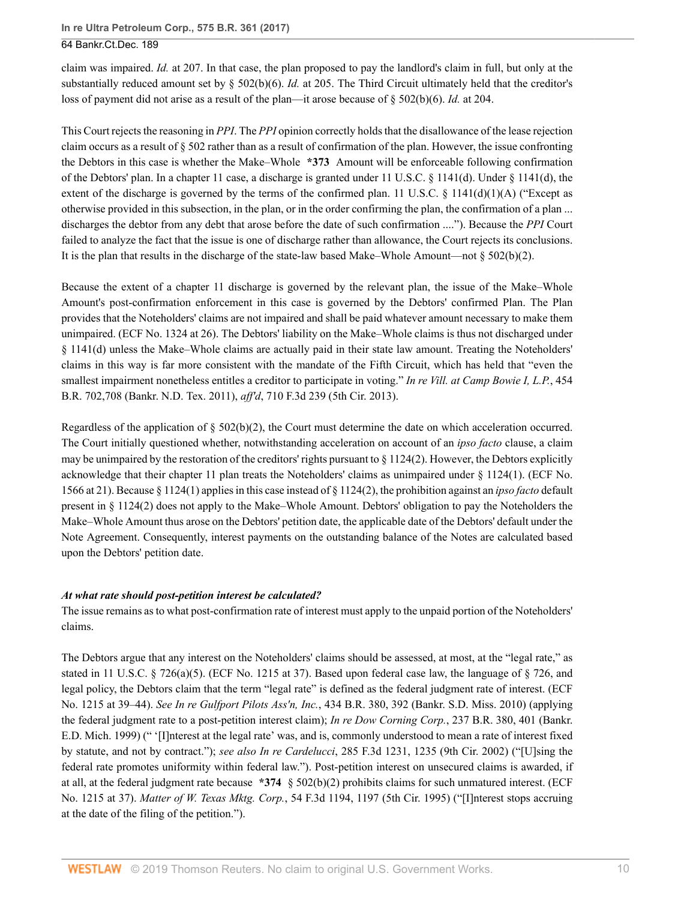claim was impaired. *Id.* [at 207](http://www.westlaw.com/Link/Document/FullText?findType=Y&serNum=2003243978&pubNum=0000506&originatingDoc=Id5002620a06411e7ae06bb6d796f727f&refType=RP&fi=co_pp_sp_506_207&originationContext=document&vr=3.0&rs=cblt1.0&transitionType=DocumentItem&contextData=(sc.UserEnteredCitation)#co_pp_sp_506_207). In that case, the plan proposed to pay the landlord's claim in full, but only at the substantially reduced amount set by  $\S$  502(b)(6). *Id.* [at 205.](http://www.westlaw.com/Link/Document/FullText?findType=Y&serNum=2003243978&pubNum=0000506&originatingDoc=Id5002620a06411e7ae06bb6d796f727f&refType=RP&fi=co_pp_sp_506_205&originationContext=document&vr=3.0&rs=cblt1.0&transitionType=DocumentItem&contextData=(sc.UserEnteredCitation)#co_pp_sp_506_205) The Third Circuit ultimately held that the creditor's loss of payment did not arise as a result of the plan—it arose because of [§ 502\(b\)\(6\)](http://www.westlaw.com/Link/Document/FullText?findType=L&pubNum=1000546&cite=11USCAS502&originatingDoc=Id5002620a06411e7ae06bb6d796f727f&refType=SP&originationContext=document&vr=3.0&rs=cblt1.0&transitionType=DocumentItem&contextData=(sc.UserEnteredCitation)#co_pp_61d20000b6d76). *Id.* [at 204](http://www.westlaw.com/Link/Document/FullText?findType=Y&serNum=2003243978&pubNum=0000506&originatingDoc=Id5002620a06411e7ae06bb6d796f727f&refType=RP&fi=co_pp_sp_506_204&originationContext=document&vr=3.0&rs=cblt1.0&transitionType=DocumentItem&contextData=(sc.UserEnteredCitation)#co_pp_sp_506_204).

This Court rejects the reasoning in *[PPI](http://www.westlaw.com/Link/Document/FullText?findType=Y&serNum=2003243978&pubNum=0000506&originatingDoc=Id5002620a06411e7ae06bb6d796f727f&refType=RP&originationContext=document&vr=3.0&rs=cblt1.0&transitionType=DocumentItem&contextData=(sc.UserEnteredCitation))*. The *[PPI](http://www.westlaw.com/Link/Document/FullText?findType=Y&serNum=2003243978&pubNum=0000506&originatingDoc=Id5002620a06411e7ae06bb6d796f727f&refType=RP&originationContext=document&vr=3.0&rs=cblt1.0&transitionType=DocumentItem&contextData=(sc.UserEnteredCitation))* opinion correctly holds that the disallowance of the lease rejection claim occurs as a result of [§ 502](http://www.westlaw.com/Link/Document/FullText?findType=L&pubNum=1000546&cite=11USCAS502&originatingDoc=Id5002620a06411e7ae06bb6d796f727f&refType=LQ&originationContext=document&vr=3.0&rs=cblt1.0&transitionType=DocumentItem&contextData=(sc.UserEnteredCitation)) rather than as a result of confirmation of the plan. However, the issue confronting the Debtors in this case is whether the Make–Whole **\*373** Amount will be enforceable following confirmation of the Debtors' plan. In a chapter 11 case, a discharge is granted under [11 U.S.C. § 1141\(d\).](http://www.westlaw.com/Link/Document/FullText?findType=L&pubNum=1000546&cite=11USCAS1141&originatingDoc=Id5002620a06411e7ae06bb6d796f727f&refType=SP&originationContext=document&vr=3.0&rs=cblt1.0&transitionType=DocumentItem&contextData=(sc.UserEnteredCitation)#co_pp_5ba1000067d06) Under [§ 1141\(d\),](http://www.westlaw.com/Link/Document/FullText?findType=L&pubNum=1000546&cite=11USCAS1141&originatingDoc=Id5002620a06411e7ae06bb6d796f727f&refType=SP&originationContext=document&vr=3.0&rs=cblt1.0&transitionType=DocumentItem&contextData=(sc.UserEnteredCitation)#co_pp_5ba1000067d06) the extent of the discharge is governed by the terms of the confirmed plan. [11 U.S.C. § 1141\(d\)\(1\)\(A\)](http://www.westlaw.com/Link/Document/FullText?findType=L&pubNum=1000546&cite=11USCAS1141&originatingDoc=Id5002620a06411e7ae06bb6d796f727f&refType=SP&originationContext=document&vr=3.0&rs=cblt1.0&transitionType=DocumentItem&contextData=(sc.UserEnteredCitation)#co_pp_a7830000870a0) ("Except as otherwise provided in this subsection, in the plan, or in the order confirming the plan, the confirmation of a plan ... discharges the debtor from any debt that arose before the date of such confirmation ...."). Because the *[PPI](http://www.westlaw.com/Link/Document/FullText?findType=Y&serNum=2003243978&pubNum=0000506&originatingDoc=Id5002620a06411e7ae06bb6d796f727f&refType=RP&originationContext=document&vr=3.0&rs=cblt1.0&transitionType=DocumentItem&contextData=(sc.UserEnteredCitation))* Court failed to analyze the fact that the issue is one of discharge rather than allowance, the Court rejects its conclusions. It is the plan that results in the discharge of the state-law based Make–Whole Amount—not  $\S 502(b)(2)$ .

Because the extent of a chapter 11 discharge is governed by the relevant plan, the issue of the Make–Whole Amount's post-confirmation enforcement in this case is governed by the Debtors' confirmed Plan. The Plan provides that the Noteholders' claims are not impaired and shall be paid whatever amount necessary to make them unimpaired. (ECF No. 1324 at 26). The Debtors' liability on the Make–Whole claims is thus not discharged under [§ 1141\(d\)](http://www.westlaw.com/Link/Document/FullText?findType=L&pubNum=1000546&cite=11USCAS1141&originatingDoc=Id5002620a06411e7ae06bb6d796f727f&refType=SP&originationContext=document&vr=3.0&rs=cblt1.0&transitionType=DocumentItem&contextData=(sc.UserEnteredCitation)#co_pp_5ba1000067d06) unless the Make–Whole claims are actually paid in their state law amount. Treating the Noteholders' claims in this way is far more consistent with the mandate of the Fifth Circuit, which has held that "even the smallest impairment nonetheless entitles a creditor to participate in voting." *[In re Vill. at Camp Bowie I, L.P.](http://www.westlaw.com/Link/Document/FullText?findType=Y&serNum=2025830262&pubNum=0000164&originatingDoc=Id5002620a06411e7ae06bb6d796f727f&refType=RP&fi=co_pp_sp_164_708&originationContext=document&vr=3.0&rs=cblt1.0&transitionType=DocumentItem&contextData=(sc.UserEnteredCitation)#co_pp_sp_164_708)*, 454 [B.R. 702,708 \(Bankr. N.D. Tex. 2011\),](http://www.westlaw.com/Link/Document/FullText?findType=Y&serNum=2025830262&pubNum=0000164&originatingDoc=Id5002620a06411e7ae06bb6d796f727f&refType=RP&fi=co_pp_sp_164_708&originationContext=document&vr=3.0&rs=cblt1.0&transitionType=DocumentItem&contextData=(sc.UserEnteredCitation)#co_pp_sp_164_708) *aff'd*, [710 F.3d 239 \(5th Cir. 2013\)](http://www.westlaw.com/Link/Document/FullText?findType=Y&serNum=2029946329&pubNum=0000506&originatingDoc=Id5002620a06411e7ae06bb6d796f727f&refType=RP&originationContext=document&vr=3.0&rs=cblt1.0&transitionType=DocumentItem&contextData=(sc.UserEnteredCitation)).

Regardless of the application of  $\S 502(b)(2)$ , the Court must determine the date on which acceleration occurred. The Court initially questioned whether, notwithstanding acceleration on account of an *ipso facto* clause, a claim may be unimpaired by the restoration of the creditors' rights pursuant to  $\S 1124(2)$ . However, the Debtors explicitly acknowledge that their chapter 11 plan treats the Noteholders' claims as unimpaired under [§ 1124\(1\)](http://www.westlaw.com/Link/Document/FullText?findType=L&pubNum=1000546&cite=11USCAS1124&originatingDoc=Id5002620a06411e7ae06bb6d796f727f&refType=SP&originationContext=document&vr=3.0&rs=cblt1.0&transitionType=DocumentItem&contextData=(sc.UserEnteredCitation)#co_pp_f1c50000821b0). (ECF No. 1566 at 21). Because [§ 1124\(1\)](http://www.westlaw.com/Link/Document/FullText?findType=L&pubNum=1000546&cite=11USCAS1124&originatingDoc=Id5002620a06411e7ae06bb6d796f727f&refType=SP&originationContext=document&vr=3.0&rs=cblt1.0&transitionType=DocumentItem&contextData=(sc.UserEnteredCitation)#co_pp_f1c50000821b0) applies in this case instead of [§ 1124\(2\)](http://www.westlaw.com/Link/Document/FullText?findType=L&pubNum=1000546&cite=11USCAS1124&originatingDoc=Id5002620a06411e7ae06bb6d796f727f&refType=SP&originationContext=document&vr=3.0&rs=cblt1.0&transitionType=DocumentItem&contextData=(sc.UserEnteredCitation)#co_pp_58730000872b1), the prohibition against an *ipso facto* default present in [§ 1124\(2\)](http://www.westlaw.com/Link/Document/FullText?findType=L&pubNum=1000546&cite=11USCAS1124&originatingDoc=Id5002620a06411e7ae06bb6d796f727f&refType=SP&originationContext=document&vr=3.0&rs=cblt1.0&transitionType=DocumentItem&contextData=(sc.UserEnteredCitation)#co_pp_58730000872b1) does not apply to the Make–Whole Amount. Debtors' obligation to pay the Noteholders the Make–Whole Amount thus arose on the Debtors' petition date, the applicable date of the Debtors' default under the Note Agreement. Consequently, interest payments on the outstanding balance of the Notes are calculated based upon the Debtors' petition date.

### *At what rate should post-petition interest be calculated?*

The issue remains as to what post-confirmation rate of interest must apply to the unpaid portion of the Noteholders' claims.

The Debtors argue that any interest on the Noteholders' claims should be assessed, at most, at the "legal rate," as stated in [11 U.S.C. § 726\(a\)\(5\)](http://www.westlaw.com/Link/Document/FullText?findType=L&pubNum=1000546&cite=11USCAS726&originatingDoc=Id5002620a06411e7ae06bb6d796f727f&refType=SP&originationContext=document&vr=3.0&rs=cblt1.0&transitionType=DocumentItem&contextData=(sc.UserEnteredCitation)#co_pp_488b0000d05e2). (ECF No. 1215 at 37). Based upon federal case law, the language of [§ 726](http://www.westlaw.com/Link/Document/FullText?findType=L&pubNum=1000546&cite=11USCAS726&originatingDoc=Id5002620a06411e7ae06bb6d796f727f&refType=LQ&originationContext=document&vr=3.0&rs=cblt1.0&transitionType=DocumentItem&contextData=(sc.UserEnteredCitation)), and legal policy, the Debtors claim that the term "legal rate" is defined as the federal judgment rate of interest. (ECF No. 1215 at 39–44). *See In re Gulfport Pilots Ass'n, Inc.*[, 434 B.R. 380, 392 \(Bankr. S.D. Miss. 2010\)](http://www.westlaw.com/Link/Document/FullText?findType=Y&serNum=2021749523&pubNum=0000164&originatingDoc=Id5002620a06411e7ae06bb6d796f727f&refType=RP&fi=co_pp_sp_164_392&originationContext=document&vr=3.0&rs=cblt1.0&transitionType=DocumentItem&contextData=(sc.UserEnteredCitation)#co_pp_sp_164_392) (applying the federal judgment rate to a post-petition interest claim); *In re Dow Corning Corp.*[, 237 B.R. 380, 401 \(Bankr.](http://www.westlaw.com/Link/Document/FullText?findType=Y&serNum=1999193361&pubNum=0000164&originatingDoc=Id5002620a06411e7ae06bb6d796f727f&refType=RP&fi=co_pp_sp_164_401&originationContext=document&vr=3.0&rs=cblt1.0&transitionType=DocumentItem&contextData=(sc.UserEnteredCitation)#co_pp_sp_164_401) [E.D. Mich. 1999\)](http://www.westlaw.com/Link/Document/FullText?findType=Y&serNum=1999193361&pubNum=0000164&originatingDoc=Id5002620a06411e7ae06bb6d796f727f&refType=RP&fi=co_pp_sp_164_401&originationContext=document&vr=3.0&rs=cblt1.0&transitionType=DocumentItem&contextData=(sc.UserEnteredCitation)#co_pp_sp_164_401) (" '[I]nterest at the legal rate' was, and is, commonly understood to mean a rate of interest fixed by statute, and not by contract."); *see also In re Cardelucci*[, 285 F.3d 1231, 1235 \(9th Cir. 2002\)](http://www.westlaw.com/Link/Document/FullText?findType=Y&serNum=2002239498&pubNum=0000506&originatingDoc=Id5002620a06411e7ae06bb6d796f727f&refType=RP&fi=co_pp_sp_506_1235&originationContext=document&vr=3.0&rs=cblt1.0&transitionType=DocumentItem&contextData=(sc.UserEnteredCitation)#co_pp_sp_506_1235) ("[U]sing the federal rate promotes uniformity within federal law."). Post-petition interest on unsecured claims is awarded, if at all, at the federal judgment rate because **\*374** [§ 502\(b\)\(2\)](http://www.westlaw.com/Link/Document/FullText?findType=L&pubNum=1000546&cite=11USCAS502&originatingDoc=Id5002620a06411e7ae06bb6d796f727f&refType=SP&originationContext=document&vr=3.0&rs=cblt1.0&transitionType=DocumentItem&contextData=(sc.UserEnteredCitation)#co_pp_c0ae00006c482) prohibits claims for such unmatured interest. (ECF No. 1215 at 37). *Matter of W. Texas Mktg. Corp.*[, 54 F.3d 1194, 1197 \(5th Cir. 1995\)](http://www.westlaw.com/Link/Document/FullText?findType=Y&serNum=1995120077&pubNum=0000506&originatingDoc=Id5002620a06411e7ae06bb6d796f727f&refType=RP&fi=co_pp_sp_506_1197&originationContext=document&vr=3.0&rs=cblt1.0&transitionType=DocumentItem&contextData=(sc.UserEnteredCitation)#co_pp_sp_506_1197) ("[I]nterest stops accruing at the date of the filing of the petition.").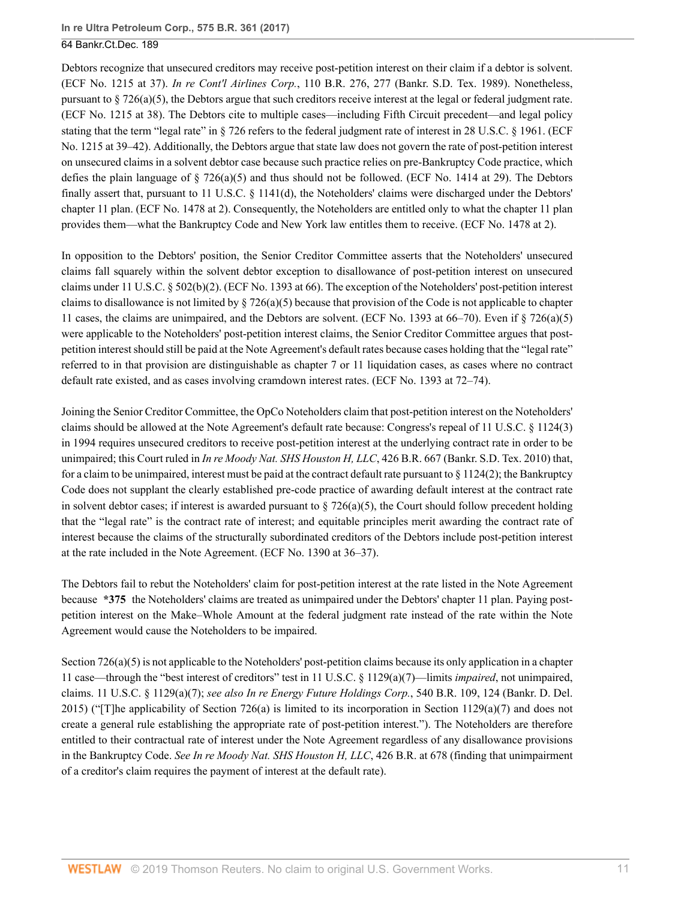Debtors recognize that unsecured creditors may receive post-petition interest on their claim if a debtor is solvent. (ECF No. 1215 at 37). *In re Cont'l Airlines Corp.*[, 110 B.R. 276, 277 \(Bankr. S.D. Tex. 1989\).](http://www.westlaw.com/Link/Document/FullText?findType=Y&serNum=1990034148&pubNum=0000164&originatingDoc=Id5002620a06411e7ae06bb6d796f727f&refType=RP&fi=co_pp_sp_164_277&originationContext=document&vr=3.0&rs=cblt1.0&transitionType=DocumentItem&contextData=(sc.UserEnteredCitation)#co_pp_sp_164_277) Nonetheless, pursuant to  $\S 726(a)(5)$ , the Debtors argue that such creditors receive interest at the legal or federal judgment rate. (ECF No. 1215 at 38). The Debtors cite to multiple cases—including Fifth Circuit precedent—and legal policy stating that the term "legal rate" in [§ 726](http://www.westlaw.com/Link/Document/FullText?findType=L&pubNum=1000546&cite=11USCAS726&originatingDoc=Id5002620a06411e7ae06bb6d796f727f&refType=LQ&originationContext=document&vr=3.0&rs=cblt1.0&transitionType=DocumentItem&contextData=(sc.UserEnteredCitation)) refers to the federal judgment rate of interest in [28 U.S.C. § 1961](http://www.westlaw.com/Link/Document/FullText?findType=L&pubNum=1000546&cite=28USCAS1961&originatingDoc=Id5002620a06411e7ae06bb6d796f727f&refType=LQ&originationContext=document&vr=3.0&rs=cblt1.0&transitionType=DocumentItem&contextData=(sc.UserEnteredCitation)). (ECF No. 1215 at 39–42). Additionally, the Debtors argue that state law does not govern the rate of post-petition interest on unsecured claims in a solvent debtor case because such practice relies on pre-Bankruptcy Code practice, which defies the plain language of  $\S 726(a)(5)$  and thus should not be followed. (ECF No. 1414 at 29). The Debtors finally assert that, pursuant to [11 U.S.C. § 1141\(d\),](http://www.westlaw.com/Link/Document/FullText?findType=L&pubNum=1000546&cite=11USCAS1141&originatingDoc=Id5002620a06411e7ae06bb6d796f727f&refType=SP&originationContext=document&vr=3.0&rs=cblt1.0&transitionType=DocumentItem&contextData=(sc.UserEnteredCitation)#co_pp_5ba1000067d06) the Noteholders' claims were discharged under the Debtors' chapter 11 plan. (ECF No. 1478 at 2). Consequently, the Noteholders are entitled only to what the chapter 11 plan provides them—what the Bankruptcy Code and New York law entitles them to receive. (ECF No. 1478 at 2).

In opposition to the Debtors' position, the Senior Creditor Committee asserts that the Noteholders' unsecured claims fall squarely within the solvent debtor exception to disallowance of post-petition interest on unsecured claims under [11 U.S.C. § 502\(b\)\(2\).](http://www.westlaw.com/Link/Document/FullText?findType=L&pubNum=1000546&cite=11USCAS502&originatingDoc=Id5002620a06411e7ae06bb6d796f727f&refType=SP&originationContext=document&vr=3.0&rs=cblt1.0&transitionType=DocumentItem&contextData=(sc.UserEnteredCitation)#co_pp_c0ae00006c482) (ECF No. 1393 at 66). The exception of the Noteholders' post-petition interest claims to disallowance is not limited by  $\S 726(a)(5)$  because that provision of the Code is not applicable to chapter 11 cases, the claims are unimpaired, and the Debtors are solvent. (ECF No. 1393 at 66–70). Even if [§ 726\(a\)\(5\)](http://www.westlaw.com/Link/Document/FullText?findType=L&pubNum=1000546&cite=11USCAS726&originatingDoc=Id5002620a06411e7ae06bb6d796f727f&refType=SP&originationContext=document&vr=3.0&rs=cblt1.0&transitionType=DocumentItem&contextData=(sc.UserEnteredCitation)#co_pp_488b0000d05e2) were applicable to the Noteholders' post-petition interest claims, the Senior Creditor Committee argues that postpetition interest should still be paid at the Note Agreement's default rates because cases holding that the "legal rate" referred to in that provision are distinguishable as chapter 7 or 11 liquidation cases, as cases where no contract default rate existed, and as cases involving cramdown interest rates. (ECF No. 1393 at 72–74).

Joining the Senior Creditor Committee, the OpCo Noteholders claim that post-petition interest on the Noteholders' claims should be allowed at the Note Agreement's default rate because: Congress's repeal of [11 U.S.C. § 1124\(3\)](http://www.westlaw.com/Link/Document/FullText?findType=L&pubNum=1000546&cite=11USCAS1124&originatingDoc=Id5002620a06411e7ae06bb6d796f727f&refType=LQ&originationContext=document&vr=3.0&rs=cblt1.0&transitionType=DocumentItem&contextData=(sc.UserEnteredCitation)) in 1994 requires unsecured creditors to receive post-petition interest at the underlying contract rate in order to be unimpaired; this Court ruled in *In re Moody Nat. SHS Houston H, LLC*[, 426 B.R. 667 \(Bankr. S.D. Tex. 2010\)](http://www.westlaw.com/Link/Document/FullText?findType=Y&serNum=2021636229&pubNum=0000164&originatingDoc=Id5002620a06411e7ae06bb6d796f727f&refType=RP&originationContext=document&vr=3.0&rs=cblt1.0&transitionType=DocumentItem&contextData=(sc.UserEnteredCitation)) that, for a claim to be unimpaired, interest must be paid at the contract default rate pursuant to  $\S 1124(2)$ ; the Bankruptcy Code does not supplant the clearly established pre-code practice of awarding default interest at the contract rate in solvent debtor cases; if interest is awarded pursuant to  $\S$  726(a)(5), the Court should follow precedent holding that the "legal rate" is the contract rate of interest; and equitable principles merit awarding the contract rate of interest because the claims of the structurally subordinated creditors of the Debtors include post-petition interest at the rate included in the Note Agreement. (ECF No. 1390 at 36–37).

The Debtors fail to rebut the Noteholders' claim for post-petition interest at the rate listed in the Note Agreement because **\*375** the Noteholders' claims are treated as unimpaired under the Debtors' chapter 11 plan. Paying postpetition interest on the Make–Whole Amount at the federal judgment rate instead of the rate within the Note Agreement would cause the Noteholders to be impaired.

[Section 726\(a\)\(5\)](http://www.westlaw.com/Link/Document/FullText?findType=L&pubNum=1000546&cite=11USCAS726&originatingDoc=Id5002620a06411e7ae06bb6d796f727f&refType=SP&originationContext=document&vr=3.0&rs=cblt1.0&transitionType=DocumentItem&contextData=(sc.UserEnteredCitation)#co_pp_488b0000d05e2) is not applicable to the Noteholders' post-petition claims because its only application in a chapter 11 case—through the "best interest of creditors" test in [11 U.S.C. § 1129\(a\)\(7\)](http://www.westlaw.com/Link/Document/FullText?findType=L&pubNum=1000546&cite=11USCAS1129&originatingDoc=Id5002620a06411e7ae06bb6d796f727f&refType=SP&originationContext=document&vr=3.0&rs=cblt1.0&transitionType=DocumentItem&contextData=(sc.UserEnteredCitation)#co_pp_36f10000408d4)—limits *impaired*, not unimpaired, claims. [11 U.S.C. § 1129\(a\)\(7\);](http://www.westlaw.com/Link/Document/FullText?findType=L&pubNum=1000546&cite=11USCAS1129&originatingDoc=Id5002620a06411e7ae06bb6d796f727f&refType=SP&originationContext=document&vr=3.0&rs=cblt1.0&transitionType=DocumentItem&contextData=(sc.UserEnteredCitation)#co_pp_36f10000408d4) *see also [In re Energy Future Holdings Corp.](http://www.westlaw.com/Link/Document/FullText?findType=Y&serNum=2037505751&pubNum=0000164&originatingDoc=Id5002620a06411e7ae06bb6d796f727f&refType=RP&fi=co_pp_sp_164_124&originationContext=document&vr=3.0&rs=cblt1.0&transitionType=DocumentItem&contextData=(sc.UserEnteredCitation)#co_pp_sp_164_124)*, 540 B.R. 109, 124 (Bankr. D. Del. [2015\)](http://www.westlaw.com/Link/Document/FullText?findType=Y&serNum=2037505751&pubNum=0000164&originatingDoc=Id5002620a06411e7ae06bb6d796f727f&refType=RP&fi=co_pp_sp_164_124&originationContext=document&vr=3.0&rs=cblt1.0&transitionType=DocumentItem&contextData=(sc.UserEnteredCitation)#co_pp_sp_164_124) ("[T]he applicability of [Section 726\(a\)](http://www.westlaw.com/Link/Document/FullText?findType=L&pubNum=1000546&cite=11USCAS726&originatingDoc=Id5002620a06411e7ae06bb6d796f727f&refType=SP&originationContext=document&vr=3.0&rs=cblt1.0&transitionType=DocumentItem&contextData=(sc.UserEnteredCitation)#co_pp_8b3b0000958a4) is limited to its incorporation in [Section 1129\(a\)\(7\)](http://www.westlaw.com/Link/Document/FullText?findType=L&pubNum=1000546&cite=11USCAS1129&originatingDoc=Id5002620a06411e7ae06bb6d796f727f&refType=SP&originationContext=document&vr=3.0&rs=cblt1.0&transitionType=DocumentItem&contextData=(sc.UserEnteredCitation)#co_pp_36f10000408d4) and does not create a general rule establishing the appropriate rate of post-petition interest."). The Noteholders are therefore entitled to their contractual rate of interest under the Note Agreement regardless of any disallowance provisions in the Bankruptcy Code. *See [In re Moody Nat. SHS Houston H, LLC](http://www.westlaw.com/Link/Document/FullText?findType=Y&serNum=2021636229&pubNum=0000164&originatingDoc=Id5002620a06411e7ae06bb6d796f727f&refType=RP&fi=co_pp_sp_164_678&originationContext=document&vr=3.0&rs=cblt1.0&transitionType=DocumentItem&contextData=(sc.UserEnteredCitation)#co_pp_sp_164_678)*, 426 B.R. at 678 (finding that unimpairment of a creditor's claim requires the payment of interest at the default rate).